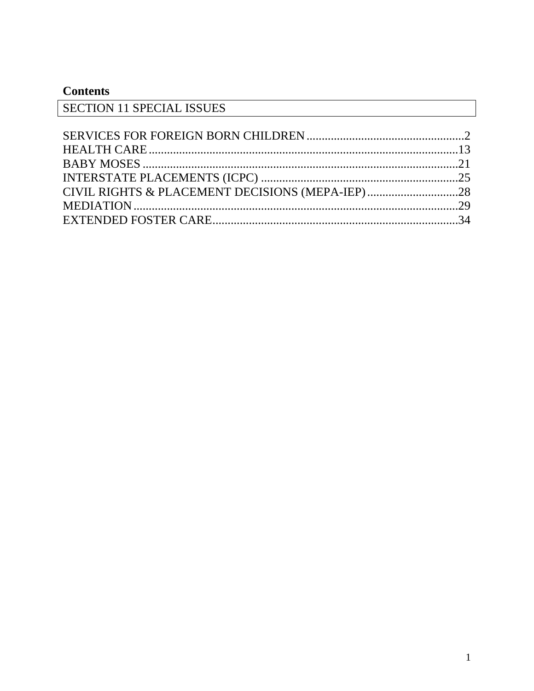# **Contents**

| <b>SECTION 11 SPECIAL ISSUES</b> |  |
|----------------------------------|--|
|                                  |  |
|                                  |  |
|                                  |  |
|                                  |  |
|                                  |  |
|                                  |  |
|                                  |  |
|                                  |  |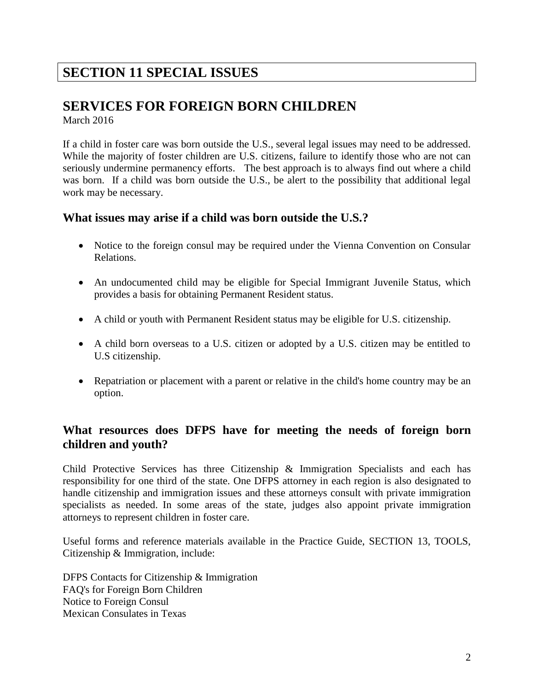# **SECTION 11 SPECIAL ISSUES**

# <span id="page-1-0"></span>**SERVICES FOR FOREIGN BORN CHILDREN**

March 2016

If a child in foster care was born outside the U.S., several legal issues may need to be addressed. While the majority of foster children are U.S. citizens, failure to identify those who are not can seriously undermine permanency efforts. The best approach is to always find out where a child was born. If a child was born outside the U.S., be alert to the possibility that additional legal work may be necessary.

### **What issues may arise if a child was born outside the U.S.?**

- Notice to the foreign consul may be required under the Vienna Convention on Consular Relations.
- An undocumented child may be eligible for Special Immigrant Juvenile Status, which provides a basis for obtaining Permanent Resident status.
- A child or youth with Permanent Resident status may be eligible for U.S. citizenship.
- A child born overseas to a U.S. citizen or adopted by a U.S. citizen may be entitled to U.S citizenship.
- Repatriation or placement with a parent or relative in the child's home country may be an option.

## **What resources does DFPS have for meeting the needs of foreign born children and youth?**

Child Protective Services has three Citizenship & Immigration Specialists and each has responsibility for one third of the state. One DFPS attorney in each region is also designated to handle citizenship and immigration issues and these attorneys consult with private immigration specialists as needed. In some areas of the state, judges also appoint private immigration attorneys to represent children in foster care.

Useful forms and reference materials available in the Practice Guide, SECTION 13, TOOLS, Citizenship & Immigration, include:

DFPS Contacts for Citizenship & Immigration FAQ's for Foreign Born Children Notice to Foreign Consul Mexican Consulates in Texas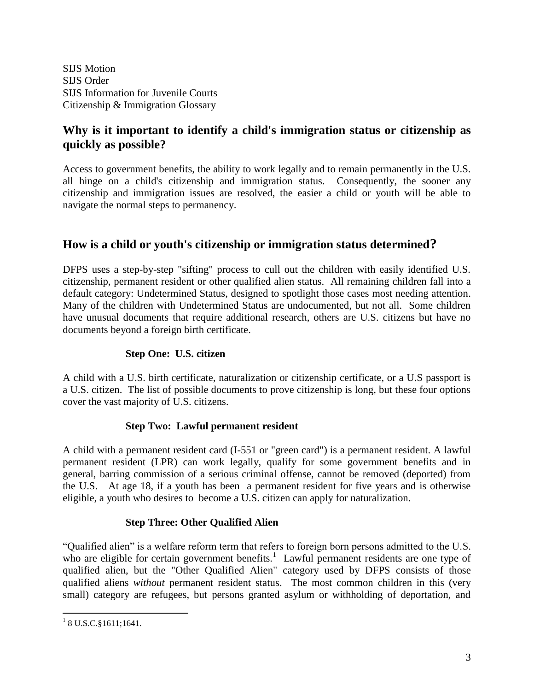SIJS Motion SIJS Order SIJS Information for Juvenile Courts Citizenship & Immigration Glossary

## **Why is it important to identify a child's immigration status or citizenship as quickly as possible?**

Access to government benefits, the ability to work legally and to remain permanently in the U.S. all hinge on a child's citizenship and immigration status. Consequently, the sooner any citizenship and immigration issues are resolved, the easier a child or youth will be able to navigate the normal steps to permanency.

## **How is a child or youth's citizenship or immigration status determined?**

DFPS uses a step-by-step "sifting" process to cull out the children with easily identified U.S. citizenship, permanent resident or other qualified alien status. All remaining children fall into a default category: Undetermined Status, designed to spotlight those cases most needing attention. Many of the children with Undetermined Status are undocumented, but not all. Some children have unusual documents that require additional research, others are U.S. citizens but have no documents beyond a foreign birth certificate.

#### **Step One: U.S. citizen**

A child with a U.S. birth certificate, naturalization or citizenship certificate, or a U.S passport is a U.S. citizen. The list of possible documents to prove citizenship is long, but these four options cover the vast majority of U.S. citizens.

#### **Step Two: Lawful permanent resident**

A child with a permanent resident card (I-551 or "green card") is a permanent resident. A lawful permanent resident (LPR) can work legally, qualify for some government benefits and in general, barring commission of a serious criminal offense, cannot be removed (deported) from the U.S. At age 18, if a youth has been a permanent resident for five years and is otherwise eligible, a youth who desires to become a U.S. citizen can apply for naturalization.

#### **Step Three: Other Qualified Alien**

"Qualified alien" is a welfare reform term that refers to foreign born persons admitted to the U.S. who are eligible for certain government benefits.<sup>1</sup> Lawful permanent residents are one type of qualified alien, but the "Other Qualified Alien" category used by DFPS consists of those qualified aliens *without* permanent resident status. The most common children in this (very small) category are refugees, but persons granted asylum or withholding of deportation, and

<sup>&</sup>lt;sup>1</sup> 8 U.S.C. § 1611; 1641.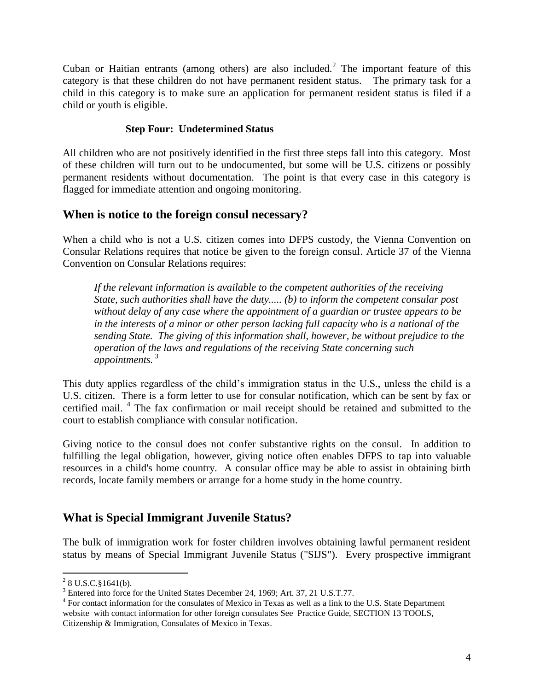Cuban or Haitian entrants (among others) are also included.<sup>2</sup> The important feature of this category is that these children do not have permanent resident status. The primary task for a child in this category is to make sure an application for permanent resident status is filed if a child or youth is eligible.

#### **Step Four: Undetermined Status**

All children who are not positively identified in the first three steps fall into this category. Most of these children will turn out to be undocumented, but some will be U.S. citizens or possibly permanent residents without documentation. The point is that every case in this category is flagged for immediate attention and ongoing monitoring.

### **When is notice to the foreign consul necessary?**

When a child who is not a U.S. citizen comes into DFPS custody, the Vienna Convention on Consular Relations requires that notice be given to the foreign consul. Article 37 of the Vienna Convention on Consular Relations requires:

*If the relevant information is available to the competent authorities of the receiving State, such authorities shall have the duty..... (b) to inform the competent consular post without delay of any case where the appointment of a guardian or trustee appears to be in the interests of a minor or other person lacking full capacity who is a national of the sending State. The giving of this information shall, however, be without prejudice to the operation of the laws and regulations of the receiving State concerning such appointments.* <sup>3</sup>

This duty applies regardless of the child's immigration status in the U.S., unless the child is a U.S. citizen. There is a form letter to use for consular notification, which can be sent by fax or certified mail. 4 The fax confirmation or mail receipt should be retained and submitted to the court to establish compliance with consular notification.

Giving notice to the consul does not confer substantive rights on the consul. In addition to fulfilling the legal obligation, however, giving notice often enables DFPS to tap into valuable resources in a child's home country. A consular office may be able to assist in obtaining birth records, locate family members or arrange for a home study in the home country.

### **What is Special Immigrant Juvenile Status?**

The bulk of immigration work for foster children involves obtaining lawful permanent resident status by means of Special Immigrant Juvenile Status ("SIJS"). Every prospective immigrant

 $^{2}$  8 U.S.C. § 1641(b).

<sup>&</sup>lt;sup>3</sup> Entered into force for the United States December 24, 1969; Art. 37, 21 U.S.T.77.

<sup>&</sup>lt;sup>4</sup> For contact information for the consulates of Mexico in Texas as well as a link to the U.S. State Department website with contact information for other foreign consulates See Practice Guide, SECTION 13 TOOLS, Citizenship & Immigration, Consulates of Mexico in Texas.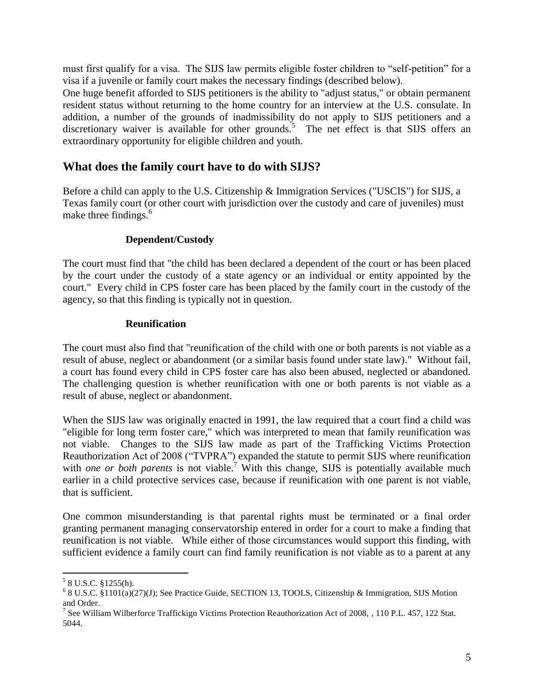must first qualify for a visa. The SIJS law permits eligible foster children to "self-petition" for a visa if a juvenile or family court makes the necessary findings (described below).

One huge benefit afforded to SIJS petitioners is the ability to "adjust status," or obtain permanent resident status without returning to the home country for an interview at the U.S. consulate. In addition, a number of the grounds of inadmissibility do not apply to SIJS petitioners and a discretionary waiver is available for other grounds.<sup>5</sup> The net effect is that SIJS offers an extraordinary opportunity for eligible children and youth.

### **What does the family court have to do with SIJS?**

Before a child can apply to the U.S. Citizenship & Immigration Services ("USCIS") for SIJS, a Texas family court (or other court with jurisdiction over the custody and care of juveniles) must make three findings. $6\frac{6}{5}$ 

#### **Dependent/Custody**

The court must find that "the child has been declared a dependent of the court or has been placed by the court under the custody of a state agency or an individual or entity appointed by the court." Every child in CPS foster care has been placed by the family court in the custody of the agency, so that this finding is typically not in question.

#### **Reunification**

The court must also find that "reunification of the child with one or both parents is not viable as a result of abuse, neglect or abandonment (or a similar basis found under state law)." Without fail, a court has found every child in CPS foster care has also been abused, neglected or abandoned. The challenging question is whether reunification with one or both parents is not viable as a result of abuse, neglect or abandonment.

When the SIJS law was originally enacted in 1991, the law required that a court find a child was "eligible for long term foster care," which was interpreted to mean that family reunification was not viable. Changes to the SIJS law made as part of the Trafficking Victims Protection Reauthorization Act of 2008 ("TVPRA") expanded the statute to permit SIJS where reunification with *one or both parents* is not viable.<sup>7</sup> With this change, SIJS is potentially available much earlier in a child protective services case, because if reunification with one parent is not viable, that is sufficient.

One common misunderstanding is that parental rights must be terminated or a final order granting permanent managing conservatorship entered in order for a court to make a finding that reunification is not viable. While either of those circumstances would support this finding, with sufficient evidence a family court can find family reunification is not viable as to a parent at any

 5 8 U.S.C. §1255(h).

 $68$  U.S.C.  $$1101(a)(27)(J)$ ; See Practice Guide, SECTION 13, TOOLS, Citizenship & Immigration, SIJS Motion

and Order.<br><sup>7</sup> See William Wilberforce Traffickign Victims Protection Reauthorization Act of 2008, , 110 P.L. 457, 122 Stat. 5044.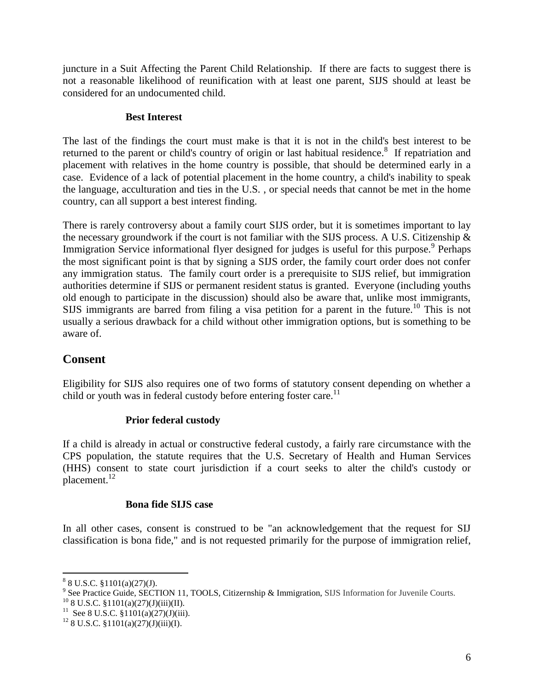juncture in a Suit Affecting the Parent Child Relationship. If there are facts to suggest there is not a reasonable likelihood of reunification with at least one parent, SIJS should at least be considered for an undocumented child.

#### **Best Interest**

The last of the findings the court must make is that it is not in the child's best interest to be returned to the parent or child's country of origin or last habitual residence.<sup>8</sup> If repatriation and placement with relatives in the home country is possible, that should be determined early in a case. Evidence of a lack of potential placement in the home country, a child's inability to speak the language, acculturation and ties in the U.S. , or special needs that cannot be met in the home country, can all support a best interest finding.

There is rarely controversy about a family court SIJS order, but it is sometimes important to lay the necessary groundwork if the court is not familiar with the SIJS process. A U.S. Citizenship & Immigration Service informational flyer designed for judges is useful for this purpose.<sup>9</sup> Perhaps the most significant point is that by signing a SIJS order, the family court order does not confer any immigration status. The family court order is a prerequisite to SIJS relief, but immigration authorities determine if SIJS or permanent resident status is granted. Everyone (including youths old enough to participate in the discussion) should also be aware that, unlike most immigrants, SIJS immigrants are barred from filing a visa petition for a parent in the future.<sup>10</sup> This is not usually a serious drawback for a child without other immigration options, but is something to be aware of.

### **Consent**

Eligibility for SIJS also requires one of two forms of statutory consent depending on whether a child or youth was in federal custody before entering foster care.<sup>11</sup>

#### **Prior federal custody**

If a child is already in actual or constructive federal custody, a fairly rare circumstance with the CPS population, the statute requires that the U.S. Secretary of Health and Human Services (HHS) consent to state court jurisdiction if a court seeks to alter the child's custody or placement.<sup>12</sup>

#### **Bona fide SIJS case**

In all other cases, consent is construed to be "an acknowledgement that the request for SIJ classification is bona fide," and is not requested primarily for the purpose of immigration relief,

 $88$  U.S.C.  $$1101(a)(27)(J)$ .

<sup>&</sup>lt;sup>9</sup> See Practice Guide, SECTION 11, TOOLS, Citizernship & Immigration, SIJS Information for Juvenile Courts.

 $^{10}$  8 U.S.C. §1101(a)(27)(J)(iii)(II).

<sup>&</sup>lt;sup>11</sup> See 8 U.S.C. §1101(a)(27)(J)(iii).

 $12$  8 U.S.C. §1101(a)(27)(J)(iii)(I).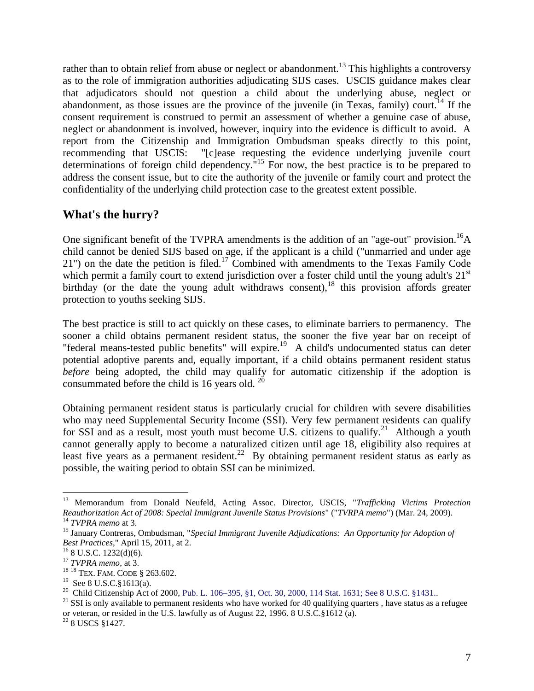rather than to obtain relief from abuse or neglect or abandonment.<sup>13</sup> This highlights a controversy as to the role of immigration authorities adjudicating SIJS cases. USCIS guidance makes clear that adjudicators should not question a child about the underlying abuse, neglect or abandonment, as those issues are the province of the juvenile (in Texas, family) court.<sup>14</sup> If the consent requirement is construed to permit an assessment of whether a genuine case of abuse, neglect or abandonment is involved, however, inquiry into the evidence is difficult to avoid. A report from the Citizenship and Immigration Ombudsman speaks directly to this point, recommending that USCIS: "[c]ease requesting the evidence underlying juvenile court determinations of foreign child dependency."<sup>15</sup> For now, the best practice is to be prepared to address the consent issue, but to cite the authority of the juvenile or family court and protect the confidentiality of the underlying child protection case to the greatest extent possible.

### **What's the hurry?**

One significant benefit of the TVPRA amendments is the addition of an "age-out" provision.<sup>16</sup>A child cannot be denied SIJS based on age, if the applicant is a child ("unmarried and under age 21") on the date the petition is filed.<sup>17</sup> Combined with amendments to the Texas Family Code which permit a family court to extend jurisdiction over a foster child until the young adult's  $21<sup>st</sup>$ birthday (or the date the young adult withdraws consent),<sup>18</sup> this provision affords greater protection to youths seeking SIJS.

The best practice is still to act quickly on these cases, to eliminate barriers to permanency. The sooner a child obtains permanent resident status, the sooner the five year bar on receipt of "federal means-tested public benefits" will expire.<sup>19</sup> A child's undocumented status can deter potential adoptive parents and, equally important, if a child obtains permanent resident status *before* being adopted, the child may qualify for automatic citizenship if the adoption is consummated before the child is 16 years old.  $^{20}$ 

Obtaining permanent resident status is particularly crucial for children with severe disabilities who may need Supplemental Security Income (SSI). Very few permanent residents can qualify for SSI and as a result, most youth must become U.S. citizens to qualify.<sup>21</sup> Although a youth cannot generally apply to become a naturalized citizen until age 18, eligibility also requires at least five years as a permanent resident.<sup>22</sup> By obtaining permanent resident status as early as possible, the waiting period to obtain SSI can be minimized.

<sup>13</sup> Memorandum from Donald Neufeld, Acting Assoc. Director, USCIS, "*Trafficking Victims Protection Reauthorization Act of 2008: Special Immigrant Juvenile Status Provisions*" ("*TVRPA memo*") (Mar. 24, 2009). <sup>14</sup> *TVPRA memo* at 3.

<sup>15</sup> January Contreras, Ombudsman, "*Special Immigrant Juvenile Adjudications: An Opportunity for Adoption of Best Practices*," April 15, 2011, at 2.

<sup>16</sup> 8 U.S.C. 1232(d)(6).

<sup>17</sup> *TVPRA memo*, at 3.

<sup>18</sup> <sup>18</sup> TEX. FAM. CODE § 263.602.

 $19$  See 8 U.S.C. § 1613(a).

<sup>&</sup>lt;sup>20</sup> Child Citizenship Act of 2000, Pub. L. 106–395, §1, Oct. 30, 2000, 114 Stat. 1631; See 8 U.S.C. §1431..

 $21$  SSI is only available to permanent residents who have worked for 40 qualifying quarters, have status as a refugee or veteran, or resided in the U.S. lawfully as of August 22, 1996. 8 U.S.C.§1612 (a).

<sup>22</sup> 8 USCS §1427.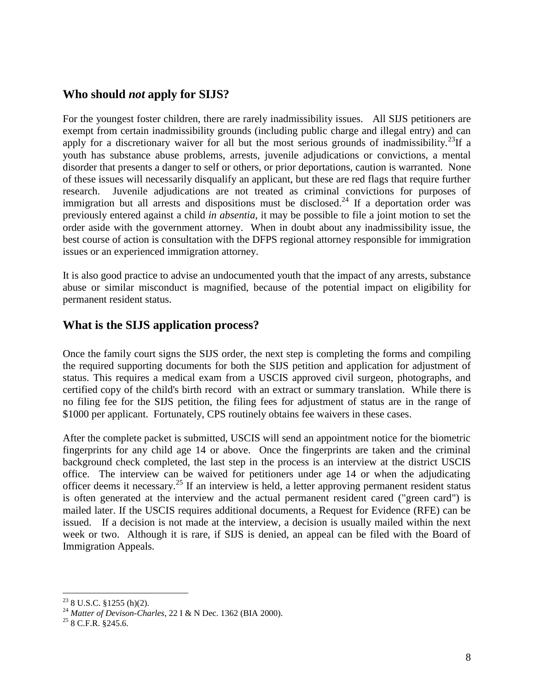#### **Who should** *not* **apply for SIJS?**

For the youngest foster children, there are rarely inadmissibility issues. All SIJS petitioners are exempt from certain inadmissibility grounds (including public charge and illegal entry) and can apply for a discretionary waiver for all but the most serious grounds of inadmissibility.<sup>23</sup>If a youth has substance abuse problems, arrests, juvenile adjudications or convictions, a mental disorder that presents a danger to self or others, or prior deportations, caution is warranted. None of these issues will necessarily disqualify an applicant, but these are red flags that require further research. Juvenile adjudications are not treated as criminal convictions for purposes of immigration but all arrests and dispositions must be disclosed.<sup>24</sup> If a deportation order was previously entered against a child *in absentia*, it may be possible to file a joint motion to set the order aside with the government attorney. When in doubt about any inadmissibility issue, the best course of action is consultation with the DFPS regional attorney responsible for immigration issues or an experienced immigration attorney.

It is also good practice to advise an undocumented youth that the impact of any arrests, substance abuse or similar misconduct is magnified, because of the potential impact on eligibility for permanent resident status.

### **What is the SIJS application process?**

Once the family court signs the SIJS order, the next step is completing the forms and compiling the required supporting documents for both the SIJS petition and application for adjustment of status. This requires a medical exam from a USCIS approved civil surgeon, photographs, and certified copy of the child's birth record with an extract or summary translation. While there is no filing fee for the SIJS petition, the filing fees for adjustment of status are in the range of \$1000 per applicant. Fortunately, CPS routinely obtains fee waivers in these cases.

After the complete packet is submitted, USCIS will send an appointment notice for the biometric fingerprints for any child age 14 or above. Once the fingerprints are taken and the criminal background check completed, the last step in the process is an interview at the district USCIS office. The interview can be waived for petitioners under age 14 or when the adjudicating officer deems it necessary.<sup>25</sup> If an interview is held, a letter approving permanent resident status is often generated at the interview and the actual permanent resident cared ("green card") is mailed later. If the USCIS requires additional documents, a Request for Evidence (RFE) can be issued. If a decision is not made at the interview, a decision is usually mailed within the next week or two. Although it is rare, if SIJS is denied, an appeal can be filed with the Board of Immigration Appeals.

 $\overline{a}$  $23$  8 U.S.C. §1255 (h)(2).

<sup>24</sup> *Matter of Devison-Charles*, 22 I & N Dec. 1362 (BIA 2000).

 $25$  8 C.F.R. §245.6.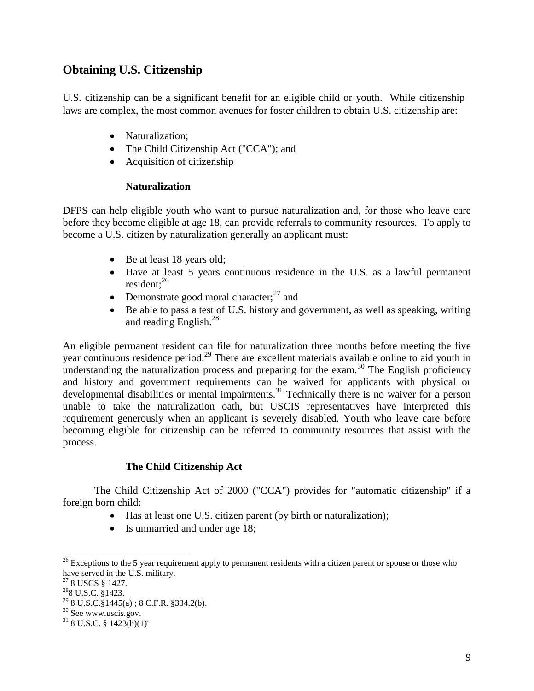## **Obtaining U.S. Citizenship**

U.S. citizenship can be a significant benefit for an eligible child or youth. While citizenship laws are complex, the most common avenues for foster children to obtain U.S. citizenship are:

- Naturalization:
- The Child Citizenship Act ("CCA"); and
- Acquisition of citizenship

#### **Naturalization**

DFPS can help eligible youth who want to pursue naturalization and, for those who leave care before they become eligible at age 18, can provide referrals to community resources. To apply to become a U.S. citizen by naturalization generally an applicant must:

- Be at least 18 years old;
- Have at least 5 years continuous residence in the U.S. as a lawful permanent resident; $^{26}$
- Demonstrate good moral character; $^{27}$  and
- Be able to pass a test of U.S. history and government, as well as speaking, writing and reading English.<sup>28</sup>

An eligible permanent resident can file for naturalization three months before meeting the five year continuous residence period.<sup>29</sup> There are excellent materials available online to aid youth in understanding the naturalization process and preparing for the exam.<sup>30</sup> The English proficiency and history and government requirements can be waived for applicants with physical or developmental disabilities or mental impairments.<sup>31</sup> Technically there is no waiver for a person unable to take the naturalization oath, but USCIS representatives have interpreted this requirement generously when an applicant is severely disabled. Youth who leave care before becoming eligible for citizenship can be referred to community resources that assist with the process.

#### **The Child Citizenship Act**

The Child Citizenship Act of 2000 ("CCA") provides for "automatic citizenship" if a foreign born child:

- Has at least one U.S. citizen parent (by birth or naturalization);
- Is unmarried and under age 18;

 $^{26}$  Exceptions to the 5 year requirement apply to permanent residents with a citizen parent or spouse or those who have served in the U.S. military.

<sup>&</sup>lt;sup>27</sup> 8 USCS § 1427.

 $^{28}$ 8 U.S.C. §1423.

 $298$  U.S.C. $\frac{81445}{a}$ ; 8 C.F.R. §334.2(b).

 $30$  See www.uscis.gov.

 $31$  8 U.S.C. § 1423(b)(1).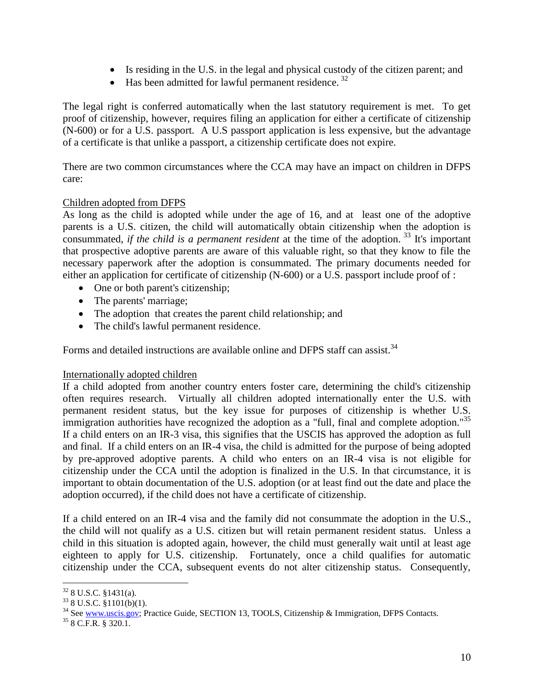- Is residing in the U.S. in the legal and physical custody of the citizen parent; and
- $\bullet$  Has been admitted for lawful permanent residence.<sup>32</sup>

The legal right is conferred automatically when the last statutory requirement is met. To get proof of citizenship, however, requires filing an application for either a certificate of citizenship (N-600) or for a U.S. passport. A U.S passport application is less expensive, but the advantage of a certificate is that unlike a passport, a citizenship certificate does not expire.

There are two common circumstances where the CCA may have an impact on children in DFPS care:

#### Children adopted from DFPS

As long as the child is adopted while under the age of 16, and at least one of the adoptive parents is a U.S. citizen, the child will automatically obtain citizenship when the adoption is consummated, *if the child is a permanent resident* at the time of the adoption.<sup>33</sup> It's important that prospective adoptive parents are aware of this valuable right, so that they know to file the necessary paperwork after the adoption is consummated. The primary documents needed for either an application for certificate of citizenship (N-600) or a U.S. passport include proof of :

- One or both parent's citizenship;
- The parents' marriage;
- The adoption that creates the parent child relationship; and
- The child's lawful permanent residence.

Forms and detailed instructions are available online and DFPS staff can assist.<sup>34</sup>

#### Internationally adopted children

If a child adopted from another country enters foster care, determining the child's citizenship often requires research. Virtually all children adopted internationally enter the U.S. with permanent resident status, but the key issue for purposes of citizenship is whether U.S. immigration authorities have recognized the adoption as a "full, final and complete adoption."<sup>35</sup> If a child enters on an IR-3 visa, this signifies that the USCIS has approved the adoption as full and final. If a child enters on an IR-4 visa, the child is admitted for the purpose of being adopted by pre-approved adoptive parents. A child who enters on an IR-4 visa is not eligible for citizenship under the CCA until the adoption is finalized in the U.S. In that circumstance, it is important to obtain documentation of the U.S. adoption (or at least find out the date and place the adoption occurred), if the child does not have a certificate of citizenship.

If a child entered on an IR-4 visa and the family did not consummate the adoption in the U.S., the child will not qualify as a U.S. citizen but will retain permanent resident status. Unless a child in this situation is adopted again, however, the child must generally wait until at least age eighteen to apply for U.S. citizenship. Fortunately, once a child qualifies for automatic citizenship under the CCA, subsequent events do not alter citizenship status. Consequently,

 $\overline{a}$  $32$  8 U.S.C. §1431(a).

 $33$  8 U.S.C. §1101(b)(1).

<sup>&</sup>lt;sup>34</sup> See [www.uscis.gov;](http://www.uscis.gov/) Practice Guide, SECTION 13, TOOLS, Citizenship & Immigration, DFPS Contacts.

 $35$  8 C.F.R. § 320.1.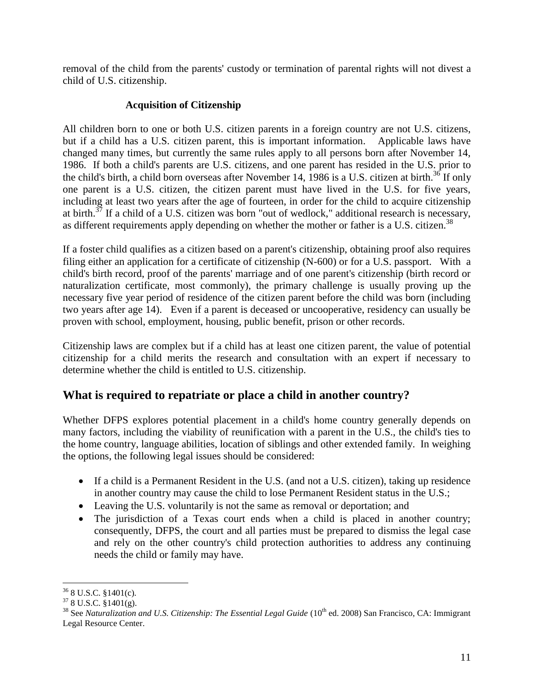removal of the child from the parents' custody or termination of parental rights will not divest a child of U.S. citizenship.

#### **Acquisition of Citizenship**

All children born to one or both U.S. citizen parents in a foreign country are not U.S. citizens, but if a child has a U.S. citizen parent, this is important information. Applicable laws have changed many times, but currently the same rules apply to all persons born after November 14, 1986. If both a child's parents are U.S. citizens, and one parent has resided in the U.S. prior to the child's birth, a child born overseas after November 14, 1986 is a U.S. citizen at birth.<sup>36</sup> If only one parent is a U.S. citizen, the citizen parent must have lived in the U.S. for five years, including at least two years after the age of fourteen, in order for the child to acquire citizenship at birth.<sup>37</sup> If a child of a U.S. citizen was born "out of wedlock," additional research is necessary, as different requirements apply depending on whether the mother or father is a U.S. citizen.<sup>38</sup>

If a foster child qualifies as a citizen based on a parent's citizenship, obtaining proof also requires filing either an application for a certificate of citizenship (N-600) or for a U.S. passport. With a child's birth record, proof of the parents' marriage and of one parent's citizenship (birth record or naturalization certificate, most commonly), the primary challenge is usually proving up the necessary five year period of residence of the citizen parent before the child was born (including two years after age 14). Even if a parent is deceased or uncooperative, residency can usually be proven with school, employment, housing, public benefit, prison or other records.

Citizenship laws are complex but if a child has at least one citizen parent, the value of potential citizenship for a child merits the research and consultation with an expert if necessary to determine whether the child is entitled to U.S. citizenship.

# **What is required to repatriate or place a child in another country?**

Whether DFPS explores potential placement in a child's home country generally depends on many factors, including the viability of reunification with a parent in the U.S., the child's ties to the home country, language abilities, location of siblings and other extended family. In weighing the options, the following legal issues should be considered:

- If a child is a Permanent Resident in the U.S. (and not a U.S. citizen), taking up residence in another country may cause the child to lose Permanent Resident status in the U.S.;
- Leaving the U.S. voluntarily is not the same as removal or deportation; and
- The jurisdiction of a Texas court ends when a child is placed in another country; consequently, DFPS, the court and all parties must be prepared to dismiss the legal case and rely on the other country's child protection authorities to address any continuing needs the child or family may have.

 $\overline{a}$  $36$  8 U.S.C. §1401(c).

 $378$  U.S.C.  $\frac{8}{3}1401(g)$ .

<sup>&</sup>lt;sup>38</sup> See *Naturalization and U.S. Citizenship: The Essential Legal Guide* (10<sup>th</sup> ed. 2008) San Francisco, CA: Immigrant Legal Resource Center.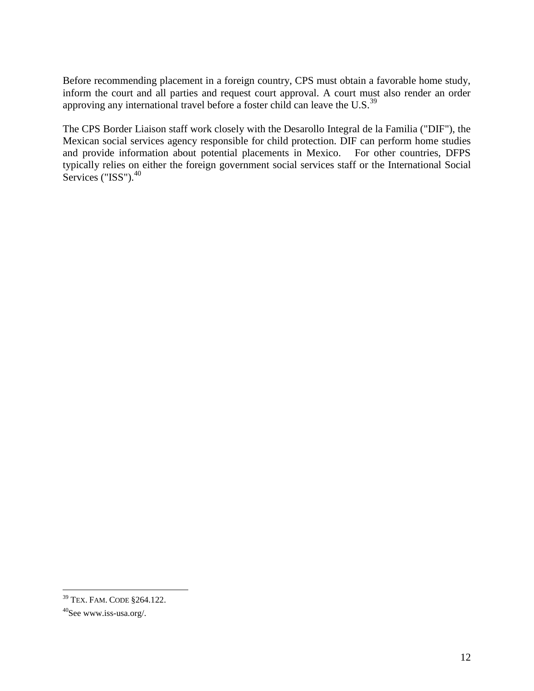Before recommending placement in a foreign country, CPS must obtain a favorable home study, inform the court and all parties and request court approval. A court must also render an order approving any international travel before a foster child can leave the U.S. $^{39}$ 

The CPS Border Liaison staff work closely with the Desarollo Integral de la Familia ("DIF"), the Mexican social services agency responsible for child protection. DIF can perform home studies and provide information about potential placements in Mexico. For other countries, DFPS typically relies on either the foreign government social services staff or the International Social Services (" $ISS$ "). $40$ 

<sup>39</sup> TEX. FAM. CODE §264.122.

<sup>40</sup>See www.iss-usa.org/.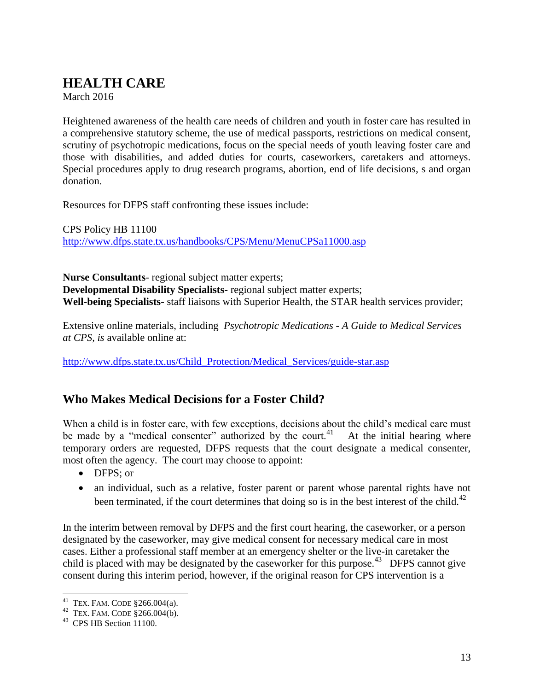# <span id="page-12-0"></span>**HEALTH CARE**

March 2016

Heightened awareness of the health care needs of children and youth in foster care has resulted in a comprehensive statutory scheme, the use of medical passports, restrictions on medical consent, scrutiny of psychotropic medications, focus on the special needs of youth leaving foster care and those with disabilities, and added duties for courts, caseworkers, caretakers and attorneys. Special procedures apply to drug research programs, abortion, end of life decisions, s and organ donation.

Resources for DFPS staff confronting these issues include:

CPS Policy HB 11100 <http://www.dfps.state.tx.us/handbooks/CPS/Menu/MenuCPSa11000.asp>

**Nurse Consultants**- regional subject matter experts; **Developmental Disability Specialists**- regional subject matter experts; **Well-being Specialists**- staff liaisons with Superior Health, the STAR health services provider;

Extensive online materials, including *Psychotropic Medications - A Guide to Medical Services at CPS, is* available online at:

[http://www.dfps.state.tx.us/Child\\_Protection/Medical\\_Services/guide-star.asp](http://www.dfps.state.tx.us/Child_Protection/Medical_Services/guide-star.asp)

### **Who Makes Medical Decisions for a Foster Child?**

When a child is in foster care, with few exceptions, decisions about the child's medical care must be made by a "medical consenter" authorized by the court.<sup>41</sup> At the initial hearing where temporary orders are requested, DFPS requests that the court designate a medical consenter, most often the agency. The court may choose to appoint:

- DFPS: or
- an individual, such as a relative, foster parent or parent whose parental rights have not been terminated, if the court determines that doing so is in the best interest of the child.<sup>42</sup>

In the interim between removal by DFPS and the first court hearing, the caseworker, or a person designated by the caseworker, may give medical consent for necessary medical care in most cases. Either a professional staff member at an emergency shelter or the live-in caretaker the child is placed with may be designated by the caseworker for this purpose.<sup>43</sup> DFPS cannot give consent during this interim period, however, if the original reason for CPS intervention is a

 $41$  TEX. FAM. CODE  $$266.004(a)$ .

 $42$  TEX. FAM. CODE  $$266.004(b)$ .

<sup>&</sup>lt;sup>43</sup> CPS HB Section 11100.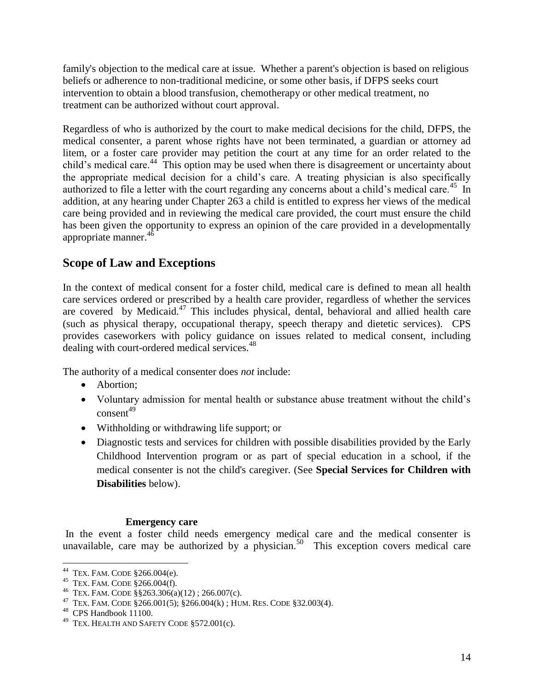family's objection to the medical care at issue. Whether a parent's objection is based on religious beliefs or adherence to non-traditional medicine, or some other basis, if DFPS seeks court intervention to obtain a blood transfusion, chemotherapy or other medical treatment, no treatment can be authorized without court approval.

Regardless of who is authorized by the court to make medical decisions for the child, DFPS, the medical consenter, a parent whose rights have not been terminated, a guardian or attorney ad litem, or a foster care provider may petition the court at any time for an order related to the child's medical care.<sup>44</sup> This option may be used when there is disagreement or uncertainty about the appropriate medical decision for a child's care. A treating physician is also specifically authorized to file a letter with the court regarding any concerns about a child's medical care.<sup>45</sup> In addition, at any hearing under Chapter 263 a child is entitled to express her views of the medical care being provided and in reviewing the medical care provided, the court must ensure the child has been given the opportunity to express an opinion of the care provided in a developmentally appropriate manner. $4$ 

## **Scope of Law and Exceptions**

In the context of medical consent for a foster child, medical care is defined to mean all health care services ordered or prescribed by a health care provider, regardless of whether the services are covered by Medicaid.<sup>47</sup> This includes physical, dental, behavioral and allied health care (such as physical therapy, occupational therapy, speech therapy and dietetic services). CPS provides caseworkers with policy guidance on issues related to medical consent, including dealing with court-ordered medical services.<sup>48</sup>

The authority of a medical consenter does *not* include:

- Abortion:
- Voluntary admission for mental health or substance abuse treatment without the child's  $consent<sup>49</sup>$
- Withholding or withdrawing life support; or
- Diagnostic tests and services for children with possible disabilities provided by the Early Childhood Intervention program or as part of special education in a school, if the medical consenter is not the child's caregiver. (See **Special Services for Children with Disabilities** below).

#### **Emergency care**

In the event a foster child needs emergency medical care and the medical consenter is unavailable, care may be authorized by a physician.<sup>50</sup> This exception covers medical care

 44 TEX. FAM. CODE §266.004(e).

<sup>45</sup> TEX. FAM. CODE §266.004(f).

<sup>&</sup>lt;sup>46</sup> TEX. FAM. CODE  $\S$ §263.306(a)(12); 266.007(c).

<sup>&</sup>lt;sup>47</sup> TEX. FAM. CODE §266.001(5); §266.004(k); HUM. RES. CODE §32.003(4).

<sup>48</sup> CPS Handbook 11100.

 $^{49}$  Tex. Health and Safety Code  $\S 572.001(c)$ .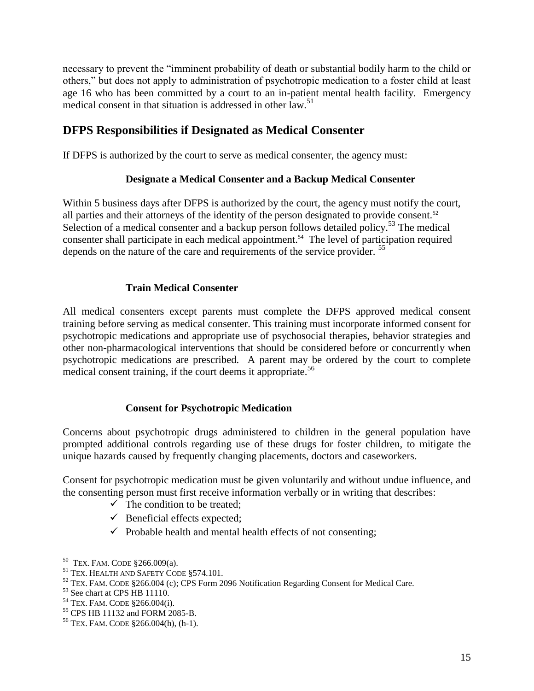necessary to prevent the "imminent probability of death or substantial bodily harm to the child or others," but does not apply to administration of psychotropic medication to a foster child at least age 16 who has been committed by a court to an in-patient mental health facility. Emergency medical consent in that situation is addressed in other law.<sup>51</sup>

## **DFPS Responsibilities if Designated as Medical Consenter**

If DFPS is authorized by the court to serve as medical consenter, the agency must:

#### **Designate a Medical Consenter and a Backup Medical Consenter**

Within 5 business days after DFPS is authorized by the court, the agency must notify the court, all parties and their attorneys of the identity of the person designated to provide consent.<sup>52</sup> Selection of a medical consenter and a backup person follows detailed policy.<sup>53</sup> The medical consenter shall participate in each medical appointment.<sup>54</sup> The level of participation required depends on the nature of the care and requirements of the service provider. <sup>55</sup>

#### **Train Medical Consenter**

All medical consenters except parents must complete the DFPS approved medical consent training before serving as medical consenter. This training must incorporate informed consent for psychotropic medications and appropriate use of psychosocial therapies, behavior strategies and other non-pharmacological interventions that should be considered before or concurrently when psychotropic medications are prescribed. A parent may be ordered by the court to complete medical consent training, if the court deems it appropriate.<sup>56</sup>

#### **Consent for Psychotropic Medication**

Concerns about psychotropic drugs administered to children in the general population have prompted additional controls regarding use of these drugs for foster children, to mitigate the unique hazards caused by frequently changing placements, doctors and caseworkers.

Consent for psychotropic medication must be given voluntarily and without undue influence, and the consenting person must first receive information verbally or in writing that describes:

- $\checkmark$  The condition to be treated;
- $\checkmark$  Beneficial effects expected;
- $\checkmark$  Probable health and mental health effects of not consenting;

 50 TEX. FAM. CODE §266.009(a).

<sup>51</sup> TEX. HEALTH AND SAFETY CODE §574.101.

<sup>&</sup>lt;sup>52</sup> TEX. FAM. CODE §266.004 (c); CPS Form 2096 Notification Regarding Consent for Medical Care.

<sup>53</sup> See chart at CPS HB 11110.

<sup>54</sup> TEX. FAM. CODE §266.004(i).

<sup>55</sup> CPS HB 11132 and FORM 2085-B.

 $56$  TEX. FAM. CODE  $$266.004(h), (h-1)$ .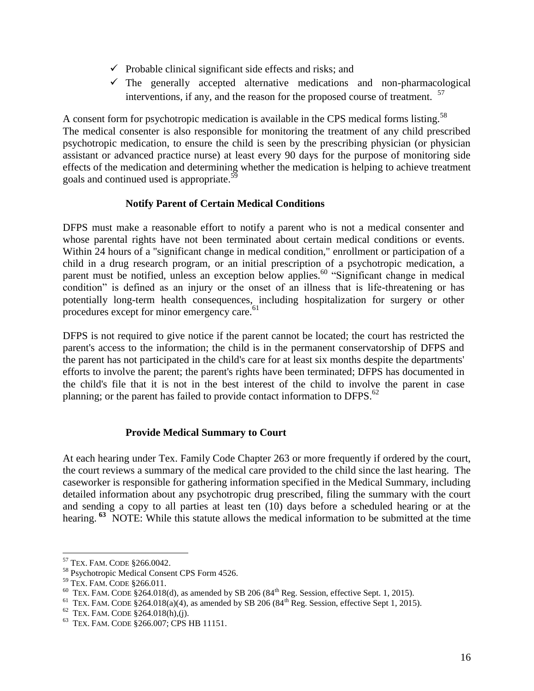- $\checkmark$  Probable clinical significant side effects and risks; and
- $\checkmark$  The generally accepted alternative medications and non-pharmacological interventions, if any, and the reason for the proposed course of treatment. <sup>57</sup>

A consent form for psychotropic medication is available in the CPS medical forms listing.<sup>58</sup> The medical consenter is also responsible for monitoring the treatment of any child prescribed psychotropic medication, to ensure the child is seen by the prescribing physician (or physician assistant or advanced practice nurse) at least every 90 days for the purpose of monitoring side effects of the medication and determining whether the medication is helping to achieve treatment goals and continued used is appropriate.<sup>59</sup>

#### **Notify Parent of Certain Medical Conditions**

DFPS must make a reasonable effort to notify a parent who is not a medical consenter and whose parental rights have not been terminated about certain medical conditions or events. Within 24 hours of a "significant change in medical condition," enrollment or participation of a child in a drug research program, or an initial prescription of a psychotropic medication, a parent must be notified, unless an exception below applies.<sup>60</sup> "Significant change in medical condition" is defined as an injury or the onset of an illness that is life-threatening or has potentially long-term health consequences, including hospitalization for surgery or other procedures except for minor emergency care.<sup>61</sup>

DFPS is not required to give notice if the parent cannot be located; the court has restricted the parent's access to the information; the child is in the permanent conservatorship of DFPS and the parent has not participated in the child's care for at least six months despite the departments' efforts to involve the parent; the parent's rights have been terminated; DFPS has documented in the child's file that it is not in the best interest of the child to involve the parent in case planning; or the parent has failed to provide contact information to DFPS. $^{62}$ 

#### **Provide Medical Summary to Court**

At each hearing under Tex. Family Code Chapter 263 or more frequently if ordered by the court, the court reviews a summary of the medical care provided to the child since the last hearing. The caseworker is responsible for gathering information specified in the Medical Summary, including detailed information about any psychotropic drug prescribed, filing the summary with the court and sending a copy to all parties at least ten (10) days before a scheduled hearing or at the hearing. **<sup>63</sup>** NOTE: While this statute allows the medical information to be submitted at the time

<sup>57</sup> TEX. FAM. CODE §266.0042.

<sup>58</sup> Psychotropic Medical Consent CPS Form 4526.

<sup>59</sup> TEX. FAM. CODE §266.011.

 $60$  TEX. FAM. CODE §264.018(d), as amended by SB 206 (84<sup>th</sup> Reg. Session, effective Sept. 1, 2015).

<sup>&</sup>lt;sup>61</sup> TEX. FAM. CODE §264.018(a)(4), as amended by SB 206 (84<sup>th</sup> Reg. Session, effective Sept 1, 2015).

 $62$  TEX. FAM. CODE §264.018(h),(j).

<sup>63</sup> TEX. FAM. CODE §266.007; CPS HB 11151.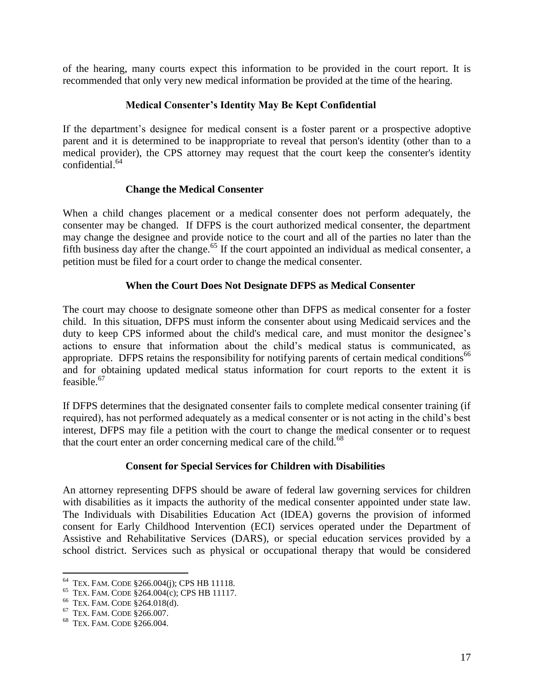of the hearing, many courts expect this information to be provided in the court report. It is recommended that only very new medical information be provided at the time of the hearing.

#### **Medical Consenter's Identity May Be Kept Confidential**

If the department's designee for medical consent is a foster parent or a prospective adoptive parent and it is determined to be inappropriate to reveal that person's identity (other than to a medical provider), the CPS attorney may request that the court keep the consenter's identity confidential.<sup>64</sup>

#### **Change the Medical Consenter**

When a child changes placement or a medical consenter does not perform adequately, the consenter may be changed. If DFPS is the court authorized medical consenter, the department may change the designee and provide notice to the court and all of the parties no later than the fifth business day after the change.<sup>65</sup> If the court appointed an individual as medical consenter, a petition must be filed for a court order to change the medical consenter.

#### **When the Court Does Not Designate DFPS as Medical Consenter**

The court may choose to designate someone other than DFPS as medical consenter for a foster child. In this situation, DFPS must inform the consenter about using Medicaid services and the duty to keep CPS informed about the child's medical care, and must monitor the designee's actions to ensure that information about the child's medical status is communicated, as appropriate. DFPS retains the responsibility for notifying parents of certain medical conditions<sup>66</sup> and for obtaining updated medical status information for court reports to the extent it is feasible. $67$ 

If DFPS determines that the designated consenter fails to complete medical consenter training (if required), has not performed adequately as a medical consenter or is not acting in the child's best interest, DFPS may file a petition with the court to change the medical consenter or to request that the court enter an order concerning medical care of the child.<sup>68</sup>

#### **Consent for Special Services for Children with Disabilities**

An attorney representing DFPS should be aware of federal law governing services for children with disabilities as it impacts the authority of the medical consenter appointed under state law. The Individuals with Disabilities Education Act (IDEA) governs the provision of informed consent for Early Childhood Intervention (ECI) services operated under the Department of Assistive and Rehabilitative Services (DARS), or special education services provided by a school district. Services such as physical or occupational therapy that would be considered

 64 TEX. FAM. CODE §266.004(j); CPS HB 11118.

<sup>65</sup> TEX. FAM. CODE §264.004(c); CPS HB 11117.

<sup>66</sup> TEX. FAM. CODE §264.018(d).

<sup>67</sup> TEX. FAM. CODE §266.007.

<sup>68</sup> TEX. FAM. CODE §266.004.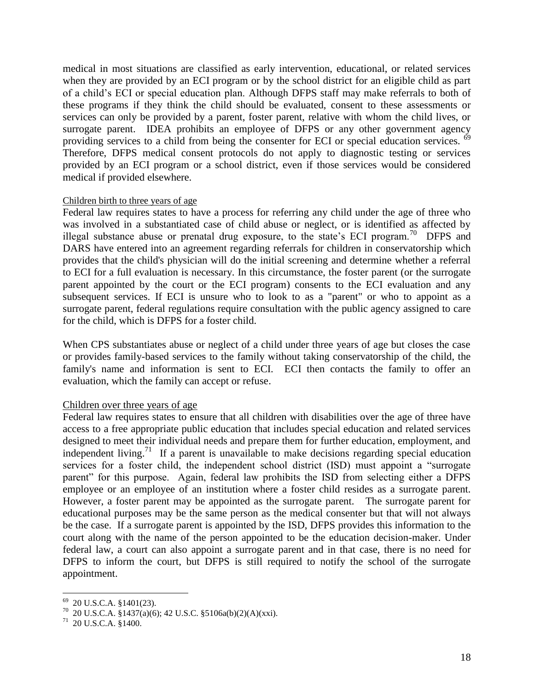medical in most situations are classified as early intervention, educational, or related services when they are provided by an ECI program or by the school district for an eligible child as part of a child's ECI or special education plan. Although DFPS staff may make referrals to both of these programs if they think the child should be evaluated, consent to these assessments or services can only be provided by a parent, foster parent, relative with whom the child lives, or surrogate parent. IDEA prohibits an employee of DFPS or any other government agency providing services to a child from being the consenter for ECI or special education services.  $\delta^9$ Therefore, DFPS medical consent protocols do not apply to diagnostic testing or services provided by an ECI program or a school district, even if those services would be considered medical if provided elsewhere.

#### Children birth to three years of age

Federal law requires states to have a process for referring any child under the age of three who was involved in a substantiated case of child abuse or neglect, or is identified as affected by illegal substance abuse or prenatal drug exposure, to the state's ECI program.<sup>70</sup> DFPS and DARS have entered into an agreement regarding referrals for children in conservatorship which provides that the child's physician will do the initial screening and determine whether a referral to ECI for a full evaluation is necessary. In this circumstance, the foster parent (or the surrogate parent appointed by the court or the ECI program) consents to the ECI evaluation and any subsequent services. If ECI is unsure who to look to as a "parent" or who to appoint as a surrogate parent, federal regulations require consultation with the public agency assigned to care for the child, which is DFPS for a foster child.

When CPS substantiates abuse or neglect of a child under three years of age but closes the case or provides family-based services to the family without taking conservatorship of the child, the family's name and information is sent to ECI. ECI then contacts the family to offer an evaluation, which the family can accept or refuse.

#### Children over three years of age

Federal law requires states to ensure that all children with disabilities over the age of three have access to a free appropriate public education that includes special education and related services designed to meet their individual needs and prepare them for further education, employment, and independent living.<sup>71</sup> If a parent is unavailable to make decisions regarding special education services for a foster child, the independent school district (ISD) must appoint a "surrogate parent" for this purpose. Again, federal law prohibits the ISD from selecting either a DFPS employee or an employee of an institution where a foster child resides as a surrogate parent. However, a foster parent may be appointed as the surrogate parent. The surrogate parent for educational purposes may be the same person as the medical consenter but that will not always be the case. If a surrogate parent is appointed by the ISD, DFPS provides this information to the court along with the name of the person appointed to be the education decision-maker. Under federal law, a court can also appoint a surrogate parent and in that case, there is no need for DFPS to inform the court, but DFPS is still required to notify the school of the surrogate appointment.

 $69$  20 U.S.C.A. §1401(23).

 $^{70}$  20 U.S.C.A. §1437(a)(6); 42 U.S.C. §5106a(b)(2)(A)(xxi).

 $171$  20 U.S.C.A. §1400.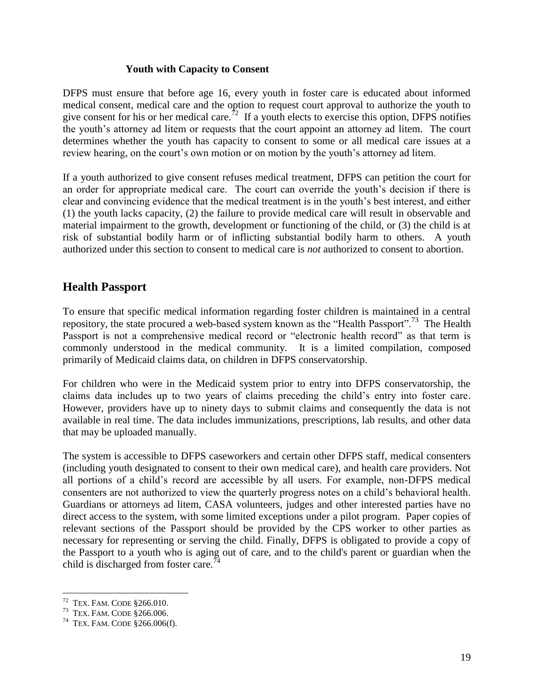#### **Youth with Capacity to Consent**

DFPS must ensure that before age 16, every youth in foster care is educated about informed medical consent, medical care and the option to request court approval to authorize the youth to give consent for his or her medical care.<sup>72</sup> If a youth elects to exercise this option, DFPS notifies the youth's attorney ad litem or requests that the court appoint an attorney ad litem. The court determines whether the youth has capacity to consent to some or all medical care issues at a review hearing, on the court's own motion or on motion by the youth's attorney ad litem.

If a youth authorized to give consent refuses medical treatment, DFPS can petition the court for an order for appropriate medical care. The court can override the youth's decision if there is clear and convincing evidence that the medical treatment is in the youth's best interest, and either (1) the youth lacks capacity, (2) the failure to provide medical care will result in observable and material impairment to the growth, development or functioning of the child, or (3) the child is at risk of substantial bodily harm or of inflicting substantial bodily harm to others. A youth authorized under this section to consent to medical care is *not* authorized to consent to abortion.

### **Health Passport**

To ensure that specific medical information regarding foster children is maintained in a central repository, the state procured a web-based system known as the "Health Passport".<sup>73</sup> The Health Passport is not a comprehensive medical record or "electronic health record" as that term is commonly understood in the medical community. It is a limited compilation, composed primarily of Medicaid claims data, on children in DFPS conservatorship.

For children who were in the Medicaid system prior to entry into DFPS conservatorship, the claims data includes up to two years of claims preceding the child's entry into foster care. However, providers have up to ninety days to submit claims and consequently the data is not available in real time. The data includes immunizations, prescriptions, lab results, and other data that may be uploaded manually.

The system is accessible to DFPS caseworkers and certain other DFPS staff, medical consenters (including youth designated to consent to their own medical care), and health care providers. Not all portions of a child's record are accessible by all users. For example, non-DFPS medical consenters are not authorized to view the quarterly progress notes on a child's behavioral health. Guardians or attorneys ad litem, CASA volunteers, judges and other interested parties have no direct access to the system, with some limited exceptions under a pilot program. Paper copies of relevant sections of the Passport should be provided by the CPS worker to other parties as necessary for representing or serving the child. Finally, DFPS is obligated to provide a copy of the Passport to a youth who is aging out of care, and to the child's parent or guardian when the child is discharged from foster care.<sup>74</sup>

<sup>72</sup> TEX. FAM. CODE §266.010.

<sup>73</sup> TEX. FAM. CODE §266.006.

 $74$  TEX. FAM. CODE  $$266.006(f)$ .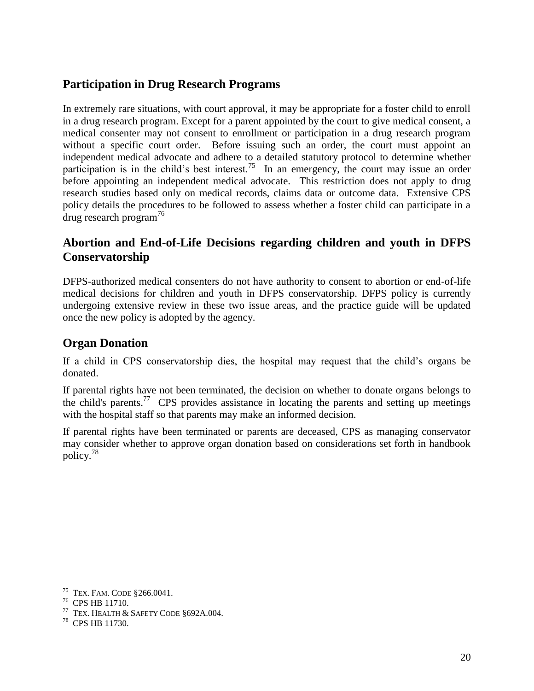### **Participation in Drug Research Programs**

In extremely rare situations, with court approval, it may be appropriate for a foster child to enroll in a drug research program. Except for a parent appointed by the court to give medical consent, a medical consenter may not consent to enrollment or participation in a drug research program without a specific court order. Before issuing such an order, the court must appoint an independent medical advocate and adhere to a detailed statutory protocol to determine whether participation is in the child's best interest.<sup>75</sup> In an emergency, the court may issue an order before appointing an independent medical advocate. This restriction does not apply to drug research studies based only on medical records, claims data or outcome data. Extensive CPS policy details the procedures to be followed to assess whether a foster child can participate in a drug research program<sup>76</sup>

## **Abortion and End-of-Life Decisions regarding children and youth in DFPS Conservatorship**

DFPS-authorized medical consenters do not have authority to consent to abortion or end-of-life medical decisions for children and youth in DFPS conservatorship. DFPS policy is currently undergoing extensive review in these two issue areas, and the practice guide will be updated once the new policy is adopted by the agency.

## **Organ Donation**

If a child in CPS conservatorship dies, the hospital may request that the child's organs be donated.

If parental rights have not been terminated, the decision on whether to donate organs belongs to the child's parents.<sup>77</sup> CPS provides assistance in locating the parents and setting up meetings with the hospital staff so that parents may make an informed decision.

If parental rights have been terminated or parents are deceased, CPS as managing conservator may consider whether to approve organ donation based on considerations set forth in handbook policy.<sup>78</sup>

<sup>75</sup> TEX. FAM. CODE §266.0041.

<sup>76</sup> CPS HB 11710.

 $77$  TEX. HEALTH & SAFETY CODE §692A.004.

<sup>78</sup> CPS HB 11730.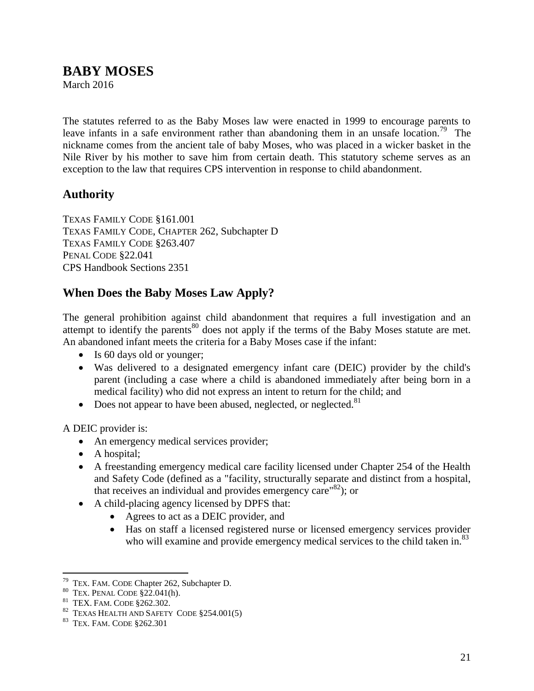# <span id="page-20-0"></span>**BABY MOSES**

March 2016

The statutes referred to as the Baby Moses law were enacted in 1999 to encourage parents to leave infants in a safe environment rather than abandoning them in an unsafe location.<sup>79</sup> The nickname comes from the ancient tale of baby Moses, who was placed in a wicker basket in the Nile River by his mother to save him from certain death. This statutory scheme serves as an exception to the law that requires CPS intervention in response to child abandonment.

### **Authority**

TEXAS FAMILY CODE §161.001 TEXAS FAMILY CODE, CHAPTER 262, Subchapter D TEXAS FAMILY CODE §263.407 PENAL CODE §22.041 CPS Handbook Sections 2351

### **When Does the Baby Moses Law Apply?**

The general prohibition against child abandonment that requires a full investigation and an attempt to identify the parents<sup>80</sup> does not apply if the terms of the Baby Moses statute are met. An abandoned infant meets the criteria for a Baby Moses case if the infant:

- Is 60 days old or younger;
- Was delivered to a designated emergency infant care (DEIC) provider by the child's parent (including a case where a child is abandoned immediately after being born in a medical facility) who did not express an intent to return for the child; and
- Does not appear to have been abused, neglected, or neglected.  $81$

A DEIC provider is:

- An emergency medical services provider;
- A hospital;
- A freestanding emergency medical care facility licensed under Chapter 254 of the Health and Safety Code (defined as a "facility, structurally separate and distinct from a hospital, that receives an individual and provides emergency care<sup>"82</sup>); or
- A child-placing agency licensed by DPFS that:
	- Agrees to act as a DEIC provider, and
	- Has on staff a licensed registered nurse or licensed emergency services provider who will examine and provide emergency medical services to the child taken in.<sup>83</sup>

 79 TEX. FAM. CODE Chapter 262, Subchapter D.

 $80$  TEX. PENAL CODE  $\S 22.041(h)$ .

<sup>81</sup> TEX. FAM. CODE §262.302.

 $82$  TEXAS HEALTH AND SAFETY CODE  $§254.001(5)$ 

<sup>83</sup> TEX. FAM. CODE §262.301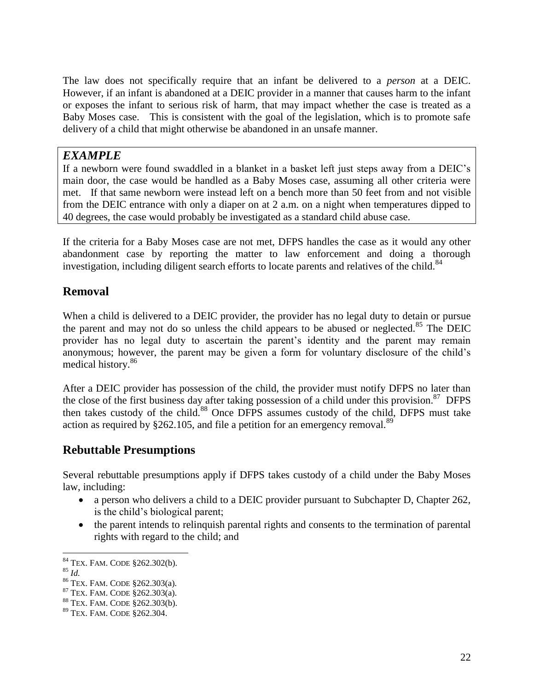The law does not specifically require that an infant be delivered to a *person* at a DEIC. However, if an infant is abandoned at a DEIC provider in a manner that causes harm to the infant or exposes the infant to serious risk of harm, that may impact whether the case is treated as a Baby Moses case. This is consistent with the goal of the legislation, which is to promote safe delivery of a child that might otherwise be abandoned in an unsafe manner.

### *EXAMPLE*

If a newborn were found swaddled in a blanket in a basket left just steps away from a DEIC's main door, the case would be handled as a Baby Moses case, assuming all other criteria were met. If that same newborn were instead left on a bench more than 50 feet from and not visible from the DEIC entrance with only a diaper on at 2 a.m. on a night when temperatures dipped to 40 degrees, the case would probably be investigated as a standard child abuse case.

If the criteria for a Baby Moses case are not met, DFPS handles the case as it would any other abandonment case by reporting the matter to law enforcement and doing a thorough investigation, including diligent search efforts to locate parents and relatives of the child. $84$ 

# **Removal**

When a child is delivered to a DEIC provider, the provider has no legal duty to detain or pursue the parent and may not do so unless the child appears to be abused or neglected.<sup>85</sup> The DEIC provider has no legal duty to ascertain the parent's identity and the parent may remain anonymous; however, the parent may be given a form for voluntary disclosure of the child's medical history.<sup>86</sup>

After a DEIC provider has possession of the child, the provider must notify DFPS no later than the close of the first business day after taking possession of a child under this provision.<sup>87</sup> DFPS then takes custody of the child.<sup>88</sup> Once DFPS assumes custody of the child, DFPS must take action as required by  $\S 262.105$ , and file a petition for an emergency removal.<sup>89</sup>

# **Rebuttable Presumptions**

Several rebuttable presumptions apply if DFPS takes custody of a child under the Baby Moses law, including:

- a person who delivers a child to a DEIC provider pursuant to Subchapter D, Chapter 262, is the child's biological parent;
- the parent intends to relinquish parental rights and consents to the termination of parental rights with regard to the child; and

<sup>84</sup> TEX. FAM. CODE §262.302(b).

<sup>85</sup> *Id.*

<sup>86</sup> TEX. FAM. CODE §262.303(a).

 $87$  TEX. FAM. CODE  $\S$ 262.303(a).

<sup>88</sup> TEX. FAM. CODE §262.303(b).

<sup>89</sup> TEX. FAM. CODE §262.304.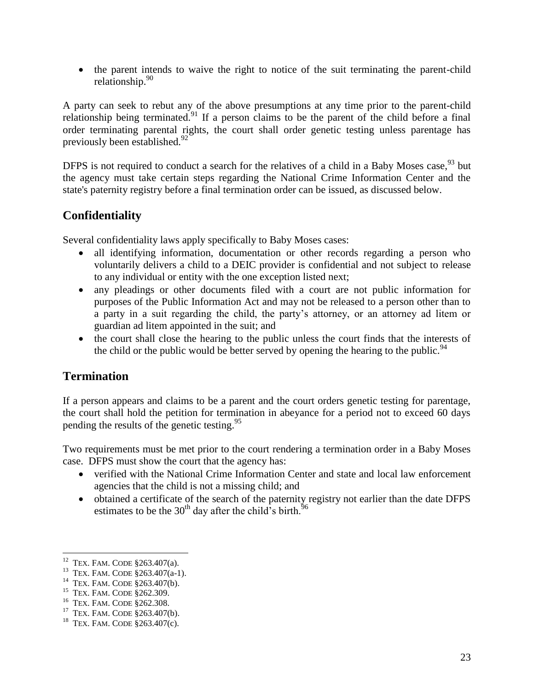• the parent intends to waive the right to notice of the suit terminating the parent-child relationship.<sup>90</sup>

A party can seek to rebut any of the above presumptions at any time prior to the parent-child relationship being terminated.<sup>91</sup> If a person claims to be the parent of the child before a final order terminating parental rights, the court shall order genetic testing unless parentage has previously been established. $92$ 

DFPS is not required to conduct a search for the relatives of a child in a Baby Moses case, <sup>93</sup> but the agency must take certain steps regarding the National Crime Information Center and the state's paternity registry before a final termination order can be issued, as discussed below.

# **Confidentiality**

Several confidentiality laws apply specifically to Baby Moses cases:

- all identifying information, documentation or other records regarding a person who voluntarily delivers a child to a DEIC provider is confidential and not subject to release to any individual or entity with the one exception listed next;
- any pleadings or other documents filed with a court are not public information for purposes of the Public Information Act and may not be released to a person other than to a party in a suit regarding the child, the party's attorney, or an attorney ad litem or guardian ad litem appointed in the suit; and
- the court shall close the hearing to the public unless the court finds that the interests of the child or the public would be better served by opening the hearing to the public.<sup>94</sup>

# **Termination**

If a person appears and claims to be a parent and the court orders genetic testing for parentage, the court shall hold the petition for termination in abeyance for a period not to exceed 60 days pending the results of the genetic testing.<sup>95</sup>

Two requirements must be met prior to the court rendering a termination order in a Baby Moses case. DFPS must show the court that the agency has:

- verified with the National Crime Information Center and state and local law enforcement agencies that the child is not a missing child; and
- obtained a certificate of the search of the paternity registry not earlier than the date DFPS estimates to be the  $30<sup>th</sup>$  day after the child<sup>5</sup>s birth.<sup>9</sup>

 12 TEX. FAM. CODE §263.407(a).

<sup>&</sup>lt;sup>13</sup> TEX. FAM. CODE §263.407(a-1).

<sup>&</sup>lt;sup>14</sup> TEX. FAM. CODE §263.407(b).

<sup>&</sup>lt;sup>15</sup> TEX. FAM. CODE §262.309.

<sup>16</sup> TEX. FAM. CODE §262.308.

<sup>&</sup>lt;sup>17</sup> TEX. FAM. CODE §263.407(b).

<sup>&</sup>lt;sup>18</sup> TEX. FAM. CODE  $$263.407(c)$ .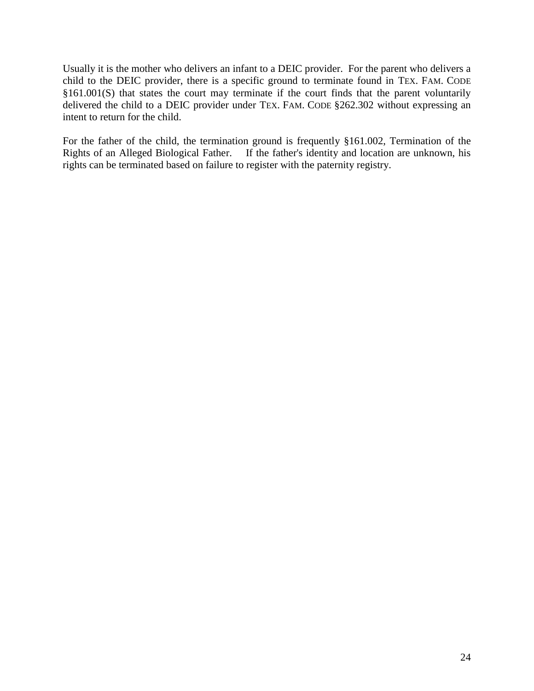Usually it is the mother who delivers an infant to a DEIC provider. For the parent who delivers a child to the DEIC provider, there is a specific ground to terminate found in TEX. FAM. CODE §161.001(S) that states the court may terminate if the court finds that the parent voluntarily delivered the child to a DEIC provider under TEX. FAM. CODE §262.302 without expressing an intent to return for the child.

For the father of the child, the termination ground is frequently §161.002, Termination of the Rights of an Alleged Biological Father. If the father's identity and location are unknown, his rights can be terminated based on failure to register with the paternity registry.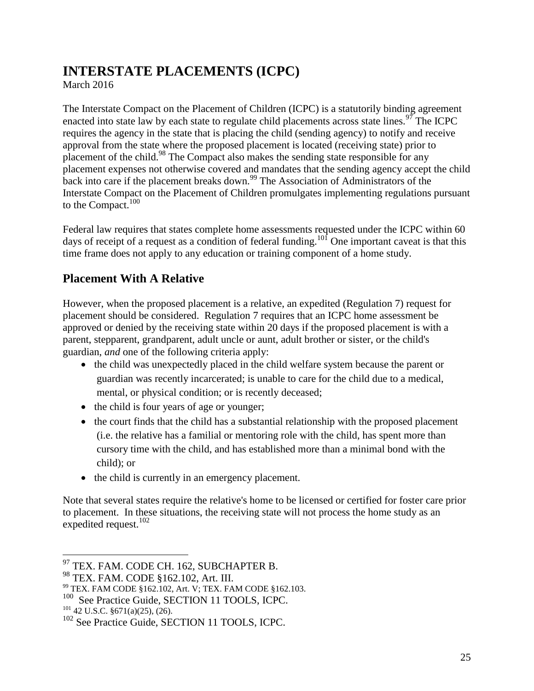# <span id="page-24-0"></span>**INTERSTATE PLACEMENTS (ICPC)**

March 2016

The Interstate Compact on the Placement of Children (ICPC) is a statutorily binding agreement enacted into state law by each state to regulate child placements across state lines.<sup>97</sup> The ICPC requires the agency in the state that is placing the child (sending agency) to notify and receive approval from the state where the proposed placement is located (receiving state) prior to placement of the child.<sup>98</sup> The Compact also makes the sending state responsible for any placement expenses not otherwise covered and mandates that the sending agency accept the child back into care if the placement breaks down.<sup>99</sup> The Association of Administrators of the Interstate Compact on the Placement of Children promulgates implementing regulations pursuant to the Compact. $100$ 

Federal law requires that states complete home assessments requested under the ICPC within 60 days of receipt of a request as a condition of federal funding.<sup>101</sup> One important caveat is that this time frame does not apply to any education or training component of a home study.

# **Placement With A Relative**

However, when the proposed placement is a relative, an expedited (Regulation 7) request for placement should be considered. Regulation 7 requires that an ICPC home assessment be approved or denied by the receiving state within 20 days if the proposed placement is with a parent, stepparent, grandparent, adult uncle or aunt, adult brother or sister, or the child's guardian, *and* one of the following criteria apply:

- the child was unexpectedly placed in the child welfare system because the parent or guardian was recently incarcerated; is unable to care for the child due to a medical, mental, or physical condition; or is recently deceased;
- the child is four years of age or younger;
- the court finds that the child has a substantial relationship with the proposed placement (i.e. the relative has a familial or mentoring role with the child, has spent more than cursory time with the child, and has established more than a minimal bond with the child); or
- the child is currently in an emergency placement.

Note that several states require the relative's home to be licensed or certified for foster care prior to placement. In these situations, the receiving state will not process the home study as an expedited request. $102$ 

<sup>&</sup>lt;sup>97</sup> TEX. FAM. CODE CH. 162, SUBCHAPTER B.

<sup>98</sup> TEX. FAM. CODE §162.102, Art. III.

<sup>99</sup> TEX. FAM CODE §162.102, Art. V; TEX. FAM CODE §162.103.

<sup>&</sup>lt;sup>100</sup> See Practice Guide, SECTION 11 TOOLS, ICPC.

 $101$  42 U.S.C. §671(a)(25), (26).

<sup>&</sup>lt;sup>102</sup> See Practice Guide, SECTION 11 TOOLS, ICPC.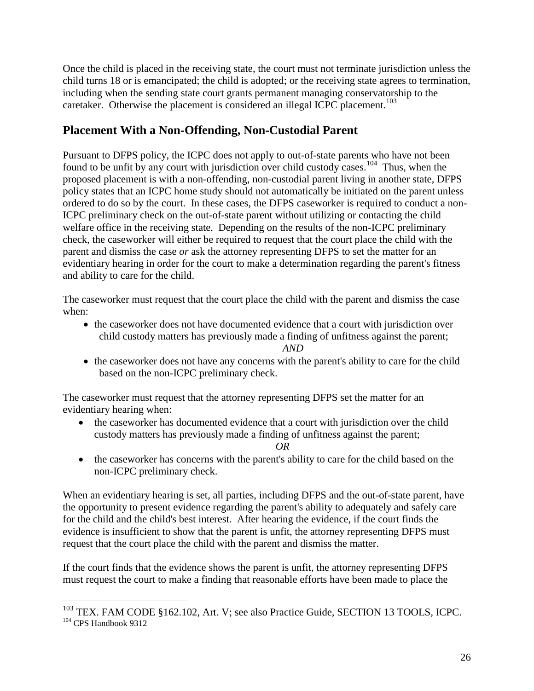Once the child is placed in the receiving state, the court must not terminate jurisdiction unless the child turns 18 or is emancipated; the child is adopted; or the receiving state agrees to termination, including when the sending state court grants permanent managing conservatorship to the caretaker. Otherwise the placement is considered an illegal ICPC placement.<sup>103</sup>

# **Placement With a Non-Offending, Non-Custodial Parent**

Pursuant to DFPS policy, the ICPC does not apply to out-of-state parents who have not been found to be unfit by any court with jurisdiction over child custody cases.<sup>104</sup> Thus, when the proposed placement is with a non-offending, non-custodial parent living in another state, DFPS policy states that an ICPC home study should not automatically be initiated on the parent unless ordered to do so by the court. In these cases, the DFPS caseworker is required to conduct a non-ICPC preliminary check on the out-of-state parent without utilizing or contacting the child welfare office in the receiving state. Depending on the results of the non-ICPC preliminary check, the caseworker will either be required to request that the court place the child with the parent and dismiss the case *or* ask the attorney representing DFPS to set the matter for an evidentiary hearing in order for the court to make a determination regarding the parent's fitness and ability to care for the child.

The caseworker must request that the court place the child with the parent and dismiss the case when:

• the caseworker does not have documented evidence that a court with jurisdiction over child custody matters has previously made a finding of unfitness against the parent;

*AND*

• the caseworker does not have any concerns with the parent's ability to care for the child based on the non-ICPC preliminary check.

The caseworker must request that the attorney representing DFPS set the matter for an evidentiary hearing when:

• the caseworker has documented evidence that a court with jurisdiction over the child custody matters has previously made a finding of unfitness against the parent;

*OR*

• the caseworker has concerns with the parent's ability to care for the child based on the non-ICPC preliminary check.

When an evidentiary hearing is set, all parties, including DFPS and the out-of-state parent, have the opportunity to present evidence regarding the parent's ability to adequately and safely care for the child and the child's best interest. After hearing the evidence, if the court finds the evidence is insufficient to show that the parent is unfit, the attorney representing DFPS must request that the court place the child with the parent and dismiss the matter.

If the court finds that the evidence shows the parent is unfit, the attorney representing DFPS must request the court to make a finding that reasonable efforts have been made to place the

<sup>&</sup>lt;sup>103</sup> TEX. FAM CODE §162.102, Art. V; see also Practice Guide, SECTION 13 TOOLS, ICPC. <sup>104</sup> CPS Handbook 9312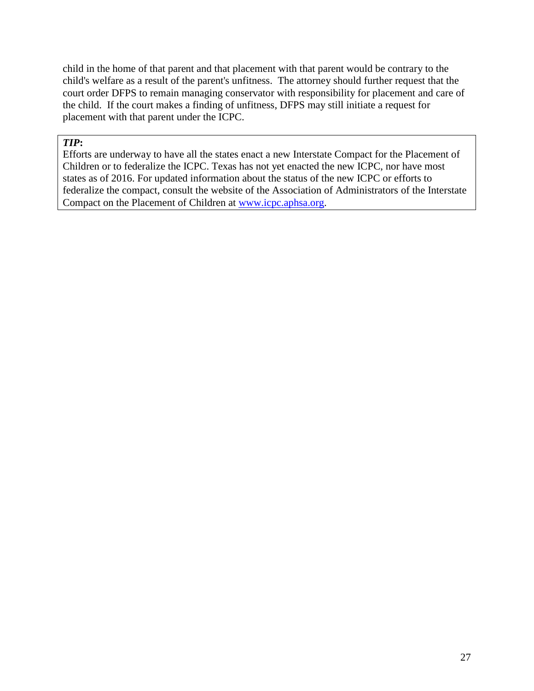child in the home of that parent and that placement with that parent would be contrary to the child's welfare as a result of the parent's unfitness. The attorney should further request that the court order DFPS to remain managing conservator with responsibility for placement and care of the child. If the court makes a finding of unfitness, DFPS may still initiate a request for placement with that parent under the ICPC.

#### *TIP***:**

Efforts are underway to have all the states enact a new Interstate Compact for the Placement of Children or to federalize the ICPC. Texas has not yet enacted the new ICPC, nor have most states as of 2016. For updated information about the status of the new ICPC or efforts to federalize the compact, consult the website of the Association of Administrators of the Interstate Compact on the Placement of Children at [www.icpc.aphsa.org.](http://www.icpc.aphsa.org/)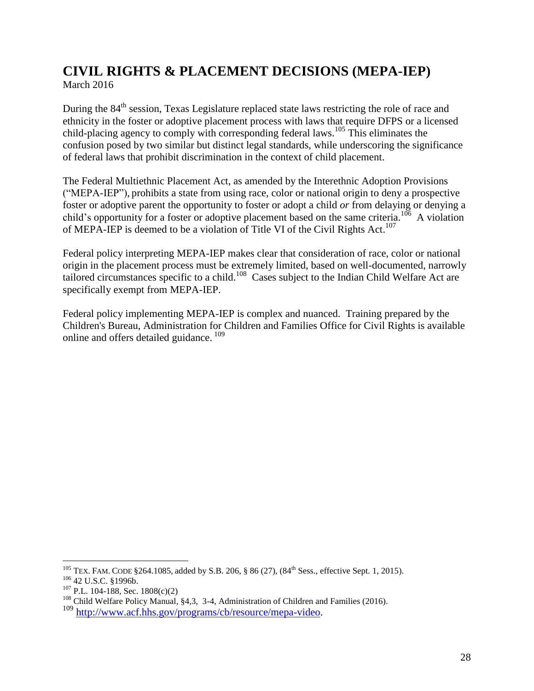# <span id="page-27-0"></span>**CIVIL RIGHTS & PLACEMENT DECISIONS (MEPA-IEP)** March 2016

During the 84<sup>th</sup> session, Texas Legislature replaced state laws restricting the role of race and ethnicity in the foster or adoptive placement process with laws that require DFPS or a licensed child-placing agency to comply with corresponding federal laws.<sup>105</sup> This eliminates the confusion posed by two similar but distinct legal standards, while underscoring the significance of federal laws that prohibit discrimination in the context of child placement.

The Federal Multiethnic Placement Act, as amended by the Interethnic Adoption Provisions ("MEPA-IEP"), prohibits a state from using race, color or national origin to deny a prospective foster or adoptive parent the opportunity to foster or adopt a child *or* from delaying or denying a child's opportunity for a foster or adoptive placement based on the same criteria.<sup>106</sup> A violation of MEPA-IEP is deemed to be a violation of Title VI of the Civil Rights Act.<sup>107</sup>

Federal policy interpreting MEPA-IEP makes clear that consideration of race, color or national origin in the placement process must be extremely limited, based on well-documented, narrowly tailored circumstances specific to a child.<sup>108</sup> Cases subject to the Indian Child Welfare Act are specifically exempt from MEPA-IEP.

Federal policy implementing MEPA-IEP is complex and nuanced. Training prepared by the Children's Bureau, Administration for Children and Families Office for Civil Rights is available online and offers detailed guidance.<sup>109</sup>

<sup>&</sup>lt;sup>105</sup> TEX. FAM. CODE § 264.1085, added by S.B. 206, § 86 (27),  $(84<sup>th</sup> Sess.,$  effective Sept. 1, 2015).

<sup>106</sup> 42 U.S.C. §1996b.

 $107$  P.L. 104-188, Sec. 1808(c)(2)

<sup>&</sup>lt;sup>108</sup> Child Welfare Policy Manual, §4,3, 3-4, Administration of Children and Families (2016).

<sup>109</sup> [http://www.acf.hhs.gov/programs/cb/resource/mepa-video.](http://www.acf.hhs.gov/programs/cb/resource/mepa-video)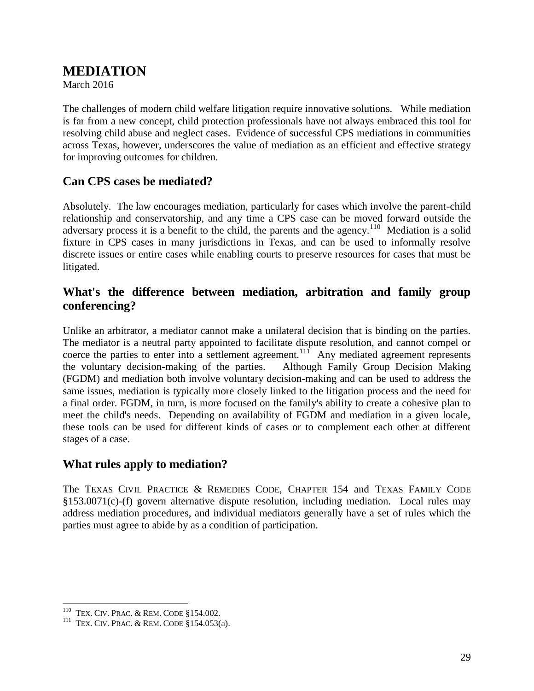# <span id="page-28-0"></span>**MEDIATION**

March 2016

The challenges of modern child welfare litigation require innovative solutions. While mediation is far from a new concept, child protection professionals have not always embraced this tool for resolving child abuse and neglect cases. Evidence of successful CPS mediations in communities across Texas, however, underscores the value of mediation as an efficient and effective strategy for improving outcomes for children.

### **Can CPS cases be mediated?**

Absolutely. The law encourages mediation, particularly for cases which involve the parent-child relationship and conservatorship, and any time a CPS case can be moved forward outside the adversary process it is a benefit to the child, the parents and the agency.<sup>110</sup> Mediation is a solid fixture in CPS cases in many jurisdictions in Texas, and can be used to informally resolve discrete issues or entire cases while enabling courts to preserve resources for cases that must be litigated.

### **What's the difference between mediation, arbitration and family group conferencing?**

Unlike an arbitrator, a mediator cannot make a unilateral decision that is binding on the parties. The mediator is a neutral party appointed to facilitate dispute resolution, and cannot compel or coerce the parties to enter into a settlement agreement.<sup>11f</sup> Any mediated agreement represents the voluntary decision-making of the parties. Although Family Group Decision Making (FGDM) and mediation both involve voluntary decision-making and can be used to address the same issues, mediation is typically more closely linked to the litigation process and the need for a final order. FGDM, in turn, is more focused on the family's ability to create a cohesive plan to meet the child's needs. Depending on availability of FGDM and mediation in a given locale, these tools can be used for different kinds of cases or to complement each other at different stages of a case.

#### **What rules apply to mediation?**

The TEXAS CIVIL PRACTICE & REMEDIES CODE, CHAPTER 154 and TEXAS FAMILY CODE §153.0071(c)-(f) govern alternative dispute resolution, including mediation. Local rules may address mediation procedures, and individual mediators generally have a set of rules which the parties must agree to abide by as a condition of participation.

 110 TEX. CIV. PRAC. & REM. CODE §154.002.

<sup>&</sup>lt;sup>111</sup> TEX. CIV. PRAC. & REM. CODE  $$154.053(a)$ .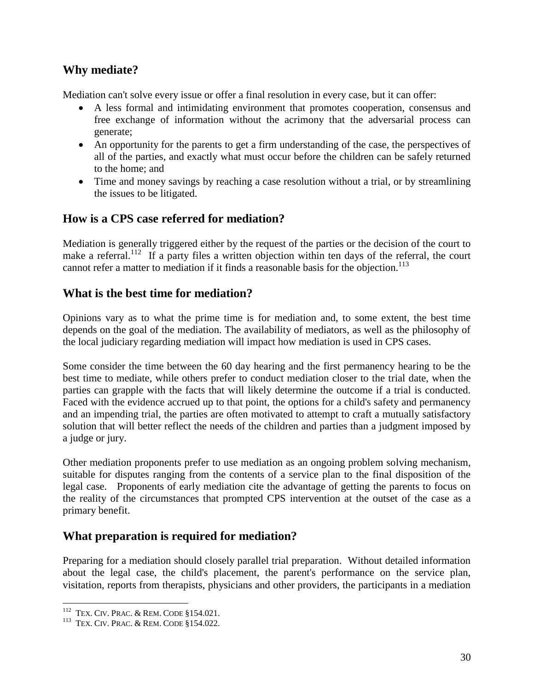### **Why mediate?**

Mediation can't solve every issue or offer a final resolution in every case, but it can offer:

- A less formal and intimidating environment that promotes cooperation, consensus and free exchange of information without the acrimony that the adversarial process can generate;
- An opportunity for the parents to get a firm understanding of the case, the perspectives of all of the parties, and exactly what must occur before the children can be safely returned to the home; and
- Time and money savings by reaching a case resolution without a trial, or by streamlining the issues to be litigated.

# **How is a CPS case referred for mediation?**

Mediation is generally triggered either by the request of the parties or the decision of the court to make a referral.<sup>112</sup> If a party files a written objection within ten days of the referral, the court cannot refer a matter to mediation if it finds a reasonable basis for the objection.<sup>113</sup>

### **What is the best time for mediation?**

Opinions vary as to what the prime time is for mediation and, to some extent, the best time depends on the goal of the mediation. The availability of mediators, as well as the philosophy of the local judiciary regarding mediation will impact how mediation is used in CPS cases.

Some consider the time between the 60 day hearing and the first permanency hearing to be the best time to mediate, while others prefer to conduct mediation closer to the trial date, when the parties can grapple with the facts that will likely determine the outcome if a trial is conducted. Faced with the evidence accrued up to that point, the options for a child's safety and permanency and an impending trial, the parties are often motivated to attempt to craft a mutually satisfactory solution that will better reflect the needs of the children and parties than a judgment imposed by a judge or jury.

Other mediation proponents prefer to use mediation as an ongoing problem solving mechanism, suitable for disputes ranging from the contents of a service plan to the final disposition of the legal case. Proponents of early mediation cite the advantage of getting the parents to focus on the reality of the circumstances that prompted CPS intervention at the outset of the case as a primary benefit.

# **What preparation is required for mediation?**

Preparing for a mediation should closely parallel trial preparation. Without detailed information about the legal case, the child's placement, the parent's performance on the service plan, visitation, reports from therapists, physicians and other providers, the participants in a mediation

 112 TEX. CIV. PRAC. & REM. CODE §154.021.

<sup>&</sup>lt;sup>113</sup> TEX. CIV. PRAC. & REM. CODE §154.022.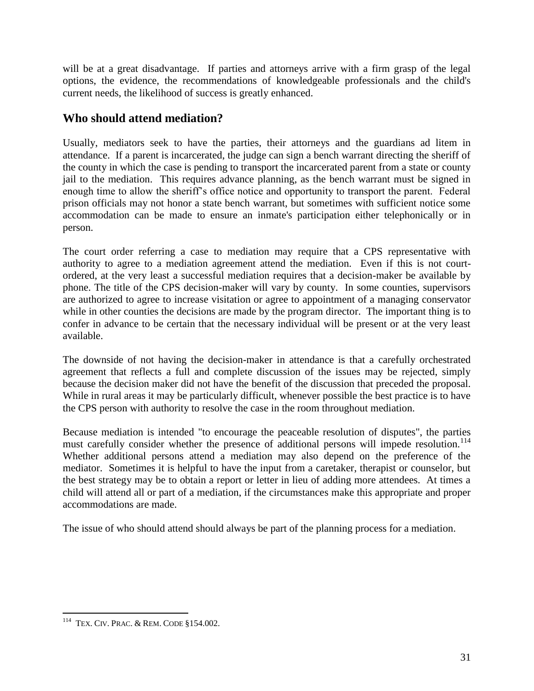will be at a great disadvantage. If parties and attorneys arrive with a firm grasp of the legal options, the evidence, the recommendations of knowledgeable professionals and the child's current needs, the likelihood of success is greatly enhanced.

## **Who should attend mediation?**

Usually, mediators seek to have the parties, their attorneys and the guardians ad litem in attendance. If a parent is incarcerated, the judge can sign a bench warrant directing the sheriff of the county in which the case is pending to transport the incarcerated parent from a state or county jail to the mediation. This requires advance planning, as the bench warrant must be signed in enough time to allow the sheriff's office notice and opportunity to transport the parent. Federal prison officials may not honor a state bench warrant, but sometimes with sufficient notice some accommodation can be made to ensure an inmate's participation either telephonically or in person.

The court order referring a case to mediation may require that a CPS representative with authority to agree to a mediation agreement attend the mediation. Even if this is not courtordered, at the very least a successful mediation requires that a decision-maker be available by phone. The title of the CPS decision-maker will vary by county. In some counties, supervisors are authorized to agree to increase visitation or agree to appointment of a managing conservator while in other counties the decisions are made by the program director. The important thing is to confer in advance to be certain that the necessary individual will be present or at the very least available.

The downside of not having the decision-maker in attendance is that a carefully orchestrated agreement that reflects a full and complete discussion of the issues may be rejected, simply because the decision maker did not have the benefit of the discussion that preceded the proposal. While in rural areas it may be particularly difficult, whenever possible the best practice is to have the CPS person with authority to resolve the case in the room throughout mediation.

Because mediation is intended "to encourage the peaceable resolution of disputes", the parties must carefully consider whether the presence of additional persons will impede resolution.<sup>114</sup> Whether additional persons attend a mediation may also depend on the preference of the mediator. Sometimes it is helpful to have the input from a caretaker, therapist or counselor, but the best strategy may be to obtain a report or letter in lieu of adding more attendees. At times a child will attend all or part of a mediation, if the circumstances make this appropriate and proper accommodations are made.

The issue of who should attend should always be part of the planning process for a mediation.

<sup>&</sup>lt;sup>114</sup> TEX. CIV. PRAC. & REM. CODE §154.002.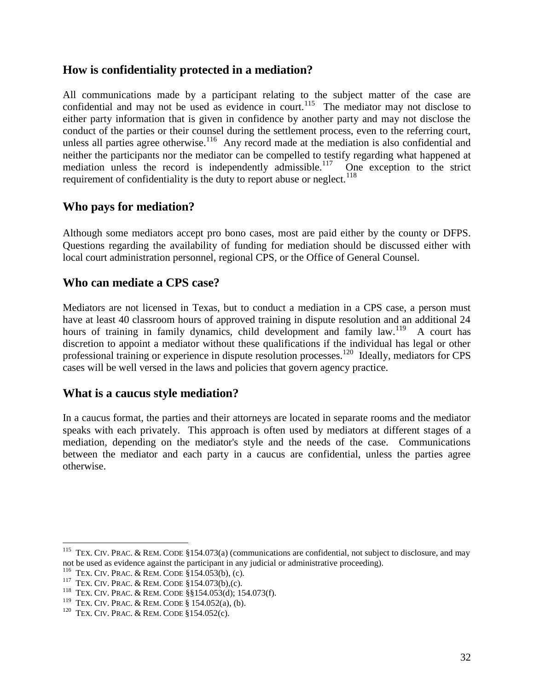#### **How is confidentiality protected in a mediation?**

All communications made by a participant relating to the subject matter of the case are confidential and may not be used as evidence in court.<sup>115</sup> The mediator may not disclose to either party information that is given in confidence by another party and may not disclose the conduct of the parties or their counsel during the settlement process, even to the referring court, unless all parties agree otherwise.<sup>116</sup> Any record made at the mediation is also confidential and neither the participants nor the mediator can be compelled to testify regarding what happened at mediation unless the record is independently admissible.<sup>117</sup> One exception to the strict requirement of confidentiality is the duty to report abuse or neglect.<sup>118</sup>

#### **Who pays for mediation?**

Although some mediators accept pro bono cases, most are paid either by the county or DFPS. Questions regarding the availability of funding for mediation should be discussed either with local court administration personnel, regional CPS, or the Office of General Counsel.

### **Who can mediate a CPS case?**

Mediators are not licensed in Texas, but to conduct a mediation in a CPS case, a person must have at least 40 classroom hours of approved training in dispute resolution and an additional 24 hours of training in family dynamics, child development and family law.<sup>119</sup> A court has discretion to appoint a mediator without these qualifications if the individual has legal or other professional training or experience in dispute resolution processes.<sup>120</sup> Ideally, mediators for CPS cases will be well versed in the laws and policies that govern agency practice.

#### **What is a caucus style mediation?**

In a caucus format, the parties and their attorneys are located in separate rooms and the mediator speaks with each privately. This approach is often used by mediators at different stages of a mediation, depending on the mediator's style and the needs of the case. Communications between the mediator and each party in a caucus are confidential, unless the parties agree otherwise.

<sup>&</sup>lt;sup>115</sup> TEX. CIV. PRAC. & REM. CODE §154.073(a) (communications are confidential, not subject to disclosure, and may not be used as evidence against the participant in any judicial or administrative proceeding).

<sup>116</sup> TEX. CIV. PRAC. & REM. CODE §154.053(b), (c).

<sup>117</sup> TEX. CIV. PRAC. & REM. CODE §154.073(b),(c).

<sup>118</sup> TEX. CIV. PRAC. & REM. CODE §§154.053(d); 154.073(f).

<sup>119</sup> TEX. CIV. PRAC. & REM. CODE § 154.052(a), (b).

<sup>&</sup>lt;sup>120</sup> TEX. CIV. PRAC. & REM. CODE  $$154.052(c)$ .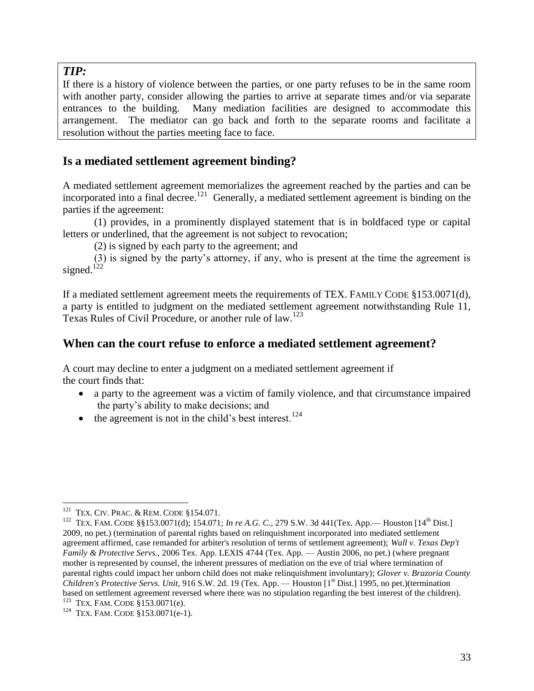#### *TIP:*

If there is a history of violence between the parties, or one party refuses to be in the same room with another party, consider allowing the parties to arrive at separate times and/or via separate entrances to the building. Many mediation facilities are designed to accommodate this arrangement. The mediator can go back and forth to the separate rooms and facilitate a resolution without the parties meeting face to face.

### **Is a mediated settlement agreement binding?**

A mediated settlement agreement memorializes the agreement reached by the parties and can be incorporated into a final decree.<sup>121</sup> Generally, a mediated settlement agreement is binding on the parties if the agreement:

(1) provides, in a prominently displayed statement that is in boldfaced type or capital letters or underlined, that the agreement is not subject to revocation;

(2) is signed by each party to the agreement; and

(3) is signed by the party's attorney, if any, who is present at the time the agreement is signed.<sup>122</sup>

If a mediated settlement agreement meets the requirements of TEX. FAMILY CODE §153.0071(d), a party is entitled to judgment on the mediated settlement agreement notwithstanding Rule 11, Texas Rules of Civil Procedure, or another rule of law.<sup>123</sup>

#### **When can the court refuse to enforce a mediated settlement agreement?**

A court may decline to enter a judgment on a mediated settlement agreement if the court finds that:

- a party to the agreement was a victim of family violence, and that circumstance impaired the party's ability to make decisions; and
- $\bullet$  the agreement is not in the child's best interest.<sup>124</sup>

 $\overline{a}$ <sup>121</sup> TEX. CIV. PRAC. & REM. CODE §154.071.

<sup>&</sup>lt;sup>122</sup> TEX. FAM. CODE §§153.0071(d); 154.071; *In re A.G. C.*, 279 S.W. 3d 441(Tex. App.— Houston [14<sup>th</sup> Dist.] 2009, no pet.) (termination of parental rights based on relinquishment incorporated into mediated settlement agreement affirmed, case remanded for arbiter's resolution of terms of settlement agreement); *Wall v. Texas Dep't Family & Protective Servs.,* 2006 Tex. App. LEXIS 4744 (Tex. App. — Austin 2006, no pet.) (where pregnant mother is represented by counsel, the inherent pressures of mediation on the eve of trial where termination of parental rights could impact her unborn child does not make relinquishment involuntary); *Glover v. Brazoria County Children's Protective Servs. Unit*, 916 S.W. 2d. 19 (Tex. App. — Houston [1<sup>st</sup> Dist.] 1995, no pet.)(termination based on settlement agreement reversed where there was no stipulation regarding the best interest of the children). <sup>123</sup> TEX. FAM. CODE §153.0071(e).

<sup>&</sup>lt;sup>124</sup> TEX. FAM. CODE §153.0071(e-1).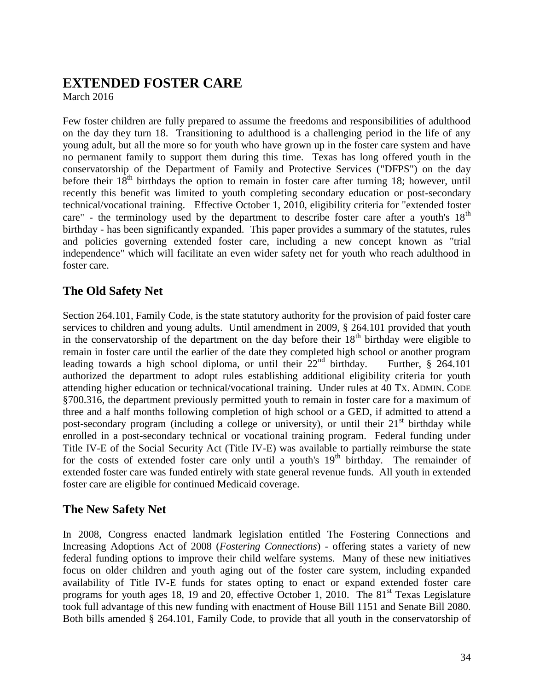# <span id="page-33-0"></span>**EXTENDED FOSTER CARE**

March 2016

Few foster children are fully prepared to assume the freedoms and responsibilities of adulthood on the day they turn 18. Transitioning to adulthood is a challenging period in the life of any young adult, but all the more so for youth who have grown up in the foster care system and have no permanent family to support them during this time. Texas has long offered youth in the conservatorship of the Department of Family and Protective Services ("DFPS") on the day before their  $18<sup>th</sup>$  birthdays the option to remain in foster care after turning 18; however, until recently this benefit was limited to youth completing secondary education or post-secondary technical/vocational training. Effective October 1, 2010, eligibility criteria for "extended foster care" - the terminology used by the department to describe foster care after a youth's  $18<sup>th</sup>$ birthday - has been significantly expanded. This paper provides a summary of the statutes, rules and policies governing extended foster care, including a new concept known as "trial independence" which will facilitate an even wider safety net for youth who reach adulthood in foster care.

### **The Old Safety Net**

Section 264.101, Family Code, is the state statutory authority for the provision of paid foster care services to children and young adults. Until amendment in 2009, § 264.101 provided that youth in the conservatorship of the department on the day before their  $18<sup>th</sup>$  birthday were eligible to remain in foster care until the earlier of the date they completed high school or another program leading towards a high school diploma, or until their  $22<sup>nd</sup>$  birthday. Further, § 264.101 authorized the department to adopt rules establishing additional eligibility criteria for youth attending higher education or technical/vocational training. Under rules at 40 TX. ADMIN. CODE §700.316, the department previously permitted youth to remain in foster care for a maximum of three and a half months following completion of high school or a GED, if admitted to attend a post-secondary program (including a college or university), or until their  $21<sup>st</sup>$  birthday while enrolled in a post-secondary technical or vocational training program. Federal funding under Title IV-E of the Social Security Act (Title IV-E) was available to partially reimburse the state for the costs of extended foster care only until a youth's  $19<sup>th</sup>$  birthday. The remainder of extended foster care was funded entirely with state general revenue funds. All youth in extended foster care are eligible for continued Medicaid coverage.

### **The New Safety Net**

In 2008, Congress enacted landmark legislation entitled The Fostering Connections and Increasing Adoptions Act of 2008 (*Fostering Connections*) - offering states a variety of new federal funding options to improve their child welfare systems. Many of these new initiatives focus on older children and youth aging out of the foster care system, including expanded availability of Title IV-E funds for states opting to enact or expand extended foster care programs for youth ages 18, 19 and 20, effective October 1, 2010. The  $81<sup>st</sup>$  Texas Legislature took full advantage of this new funding with enactment of House Bill 1151 and Senate Bill 2080. Both bills amended § 264.101, Family Code, to provide that all youth in the conservatorship of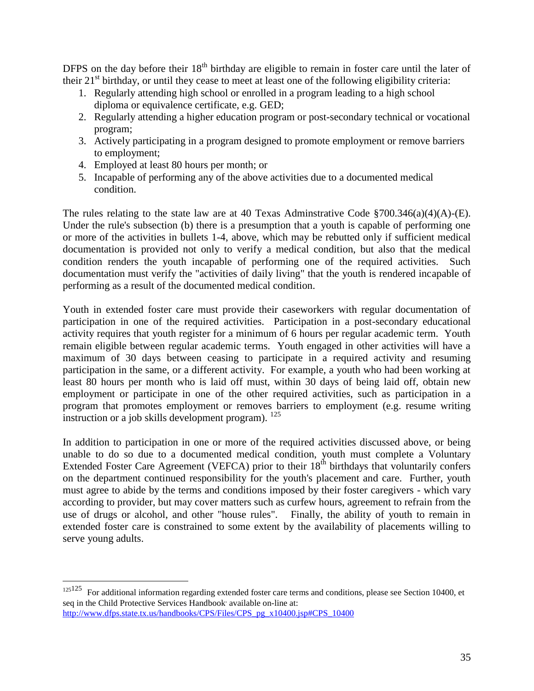DFPS on the day before their  $18<sup>th</sup>$  birthday are eligible to remain in foster care until the later of their  $21<sup>st</sup>$  birthday, or until they cease to meet at least one of the following eligibility criteria:

- 1. Regularly attending high school or enrolled in a program leading to a high school diploma or equivalence certificate, e.g. GED;
- 2. Regularly attending a higher education program or post-secondary technical or vocational program;
- 3. Actively participating in a program designed to promote employment or remove barriers to employment;
- 4. Employed at least 80 hours per month; or

 $\overline{a}$ 

5. Incapable of performing any of the above activities due to a documented medical condition.

The rules relating to the state law are at 40 Texas Adminstrative Code  $\S700.346(a)(4)(A)$ -(E). Under the rule's subsection (b) there is a presumption that a youth is capable of performing one or more of the activities in bullets 1-4, above, which may be rebutted only if sufficient medical documentation is provided not only to verify a medical condition, but also that the medical condition renders the youth incapable of performing one of the required activities. Such documentation must verify the "activities of daily living" that the youth is rendered incapable of performing as a result of the documented medical condition.

Youth in extended foster care must provide their caseworkers with regular documentation of participation in one of the required activities. Participation in a post-secondary educational activity requires that youth register for a minimum of 6 hours per regular academic term. Youth remain eligible between regular academic terms. Youth engaged in other activities will have a maximum of 30 days between ceasing to participate in a required activity and resuming participation in the same, or a different activity. For example, a youth who had been working at least 80 hours per month who is laid off must, within 30 days of being laid off, obtain new employment or participate in one of the other required activities, such as participation in a program that promotes employment or removes barriers to employment (e.g. resume writing instruction or a job skills development program).  $^{125}$ 

In addition to participation in one or more of the required activities discussed above, or being unable to do so due to a documented medical condition, youth must complete a Voluntary Extended Foster Care Agreement (VEFCA) prior to their  $18<sup>th</sup>$  birthdays that voluntarily confers on the department continued responsibility for the youth's placement and care. Further, youth must agree to abide by the terms and conditions imposed by their foster caregivers - which vary according to provider, but may cover matters such as curfew hours, agreement to refrain from the use of drugs or alcohol, and other "house rules". Finally, the ability of youth to remain in extended foster care is constrained to some extent by the availability of placements willing to serve young adults.

<sup>125</sup>125 For additional information regarding extended foster care terms and conditions, please see Section 10400, et seq in the Child Protective Services Handbook' available on-line at: [http://www.dfps.state.tx.us/handbooks/CPS/Files/CPS\\_pg\\_x10400.jsp#CPS\\_10400](http://www.dfps.state.tx.us/handbooks/CPS/Files/CPS_pg_x10400.jsp#CPS_10400)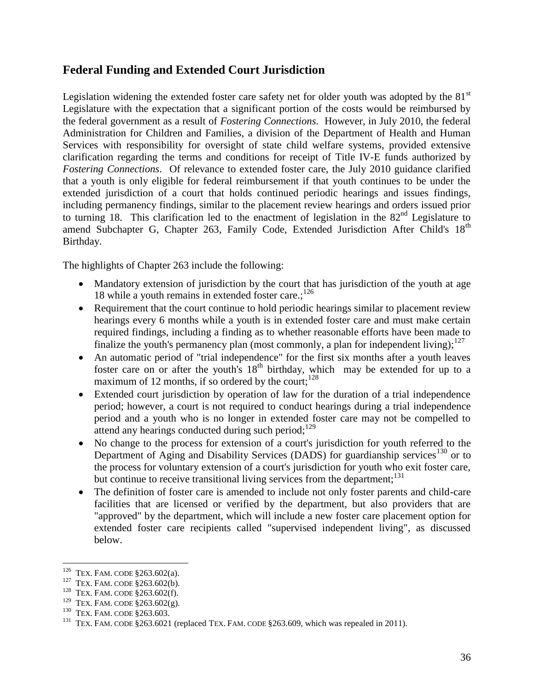### **Federal Funding and Extended Court Jurisdiction**

Legislation widening the extended foster care safety net for older youth was adopted by the  $81<sup>st</sup>$ Legislature with the expectation that a significant portion of the costs would be reimbursed by the federal government as a result of *Fostering Connections*. However, in July 2010, the federal Administration for Children and Families, a division of the Department of Health and Human Services with responsibility for oversight of state child welfare systems, provided extensive clarification regarding the terms and conditions for receipt of Title IV-E funds authorized by *Fostering Connections*. Of relevance to extended foster care, the July 2010 guidance clarified that a youth is only eligible for federal reimbursement if that youth continues to be under the extended jurisdiction of a court that holds continued periodic hearings and issues findings, including permanency findings, similar to the placement review hearings and orders issued prior to turning 18. This clarification led to the enactment of legislation in the  $82<sup>nd</sup>$  Legislature to amend Subchapter G, Chapter 263, Family Code, Extended Jurisdiction After Child's 18<sup>th</sup> Birthday.

The highlights of Chapter 263 include the following:

- Mandatory extension of jurisdiction by the court that has jurisdiction of the youth at age 18 while a youth remains in extended foster care.;<sup>126</sup>
- Requirement that the court continue to hold periodic hearings similar to placement review hearings every 6 months while a youth is in extended foster care and must make certain required findings, including a finding as to whether reasonable efforts have been made to finalize the youth's permanency plan (most commonly, a plan for independent living); $127$
- An automatic period of "trial independence" for the first six months after a youth leaves foster care on or after the youth's  $18<sup>th</sup>$  birthday, which may be extended for up to a maximum of 12 months, if so ordered by the court; $128$
- Extended court jurisdiction by operation of law for the duration of a trial independence period; however, a court is not required to conduct hearings during a trial independence period and a youth who is no longer in extended foster care may not be compelled to attend any hearings conducted during such period; $129$
- No change to the process for extension of a court's jurisdiction for youth referred to the Department of Aging and Disability Services (DADS) for guardianship services<sup>130</sup> or to the process for voluntary extension of a court's jurisdiction for youth who exit foster care, but continue to receive transitional living services from the department;<sup>131</sup>
- The definition of foster care is amended to include not only foster parents and child-care facilities that are licensed or verified by the department, but also providers that are "approved" by the department, which will include a new foster care placement option for extended foster care recipients called "supervised independent living", as discussed below.

 126 TEX. FAM. CODE §263.602(a).

<sup>&</sup>lt;sup>127</sup> TEX. FAM. CODE §263.602(b).

<sup>&</sup>lt;sup>128</sup> TEX. FAM. CODE  $$263.602(f)$ .

<sup>&</sup>lt;sup>129</sup> TEX. FAM. CODE  $$263.602(g)$ .

<sup>&</sup>lt;sup>130</sup> TEX. FAM. CODE §263.603.

<sup>&</sup>lt;sup>131</sup> TEX. FAM. CODE  $\S 263.6021$  (replaced TEX. FAM. CODE  $\S 263.609$ , which was repealed in 2011).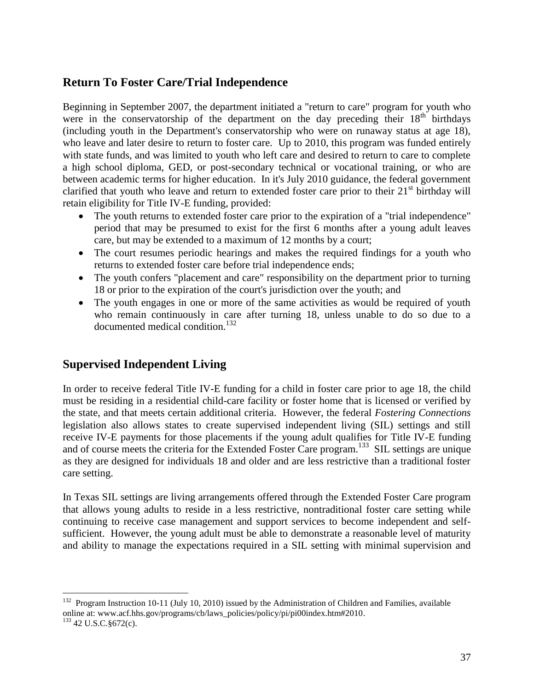### **Return To Foster Care/Trial Independence**

Beginning in September 2007, the department initiated a "return to care" program for youth who were in the conservatorship of the department on the day preceding their  $18<sup>th</sup>$  birthdays (including youth in the Department's conservatorship who were on runaway status at age 18), who leave and later desire to return to foster care. Up to 2010, this program was funded entirely with state funds, and was limited to youth who left care and desired to return to care to complete a high school diploma, GED, or post-secondary technical or vocational training, or who are between academic terms for higher education. In it's July 2010 guidance, the federal government clarified that youth who leave and return to extended foster care prior to their  $21<sup>st</sup>$  birthday will retain eligibility for Title IV-E funding, provided:

- The youth returns to extended foster care prior to the expiration of a "trial independence" period that may be presumed to exist for the first 6 months after a young adult leaves care, but may be extended to a maximum of 12 months by a court;
- The court resumes periodic hearings and makes the required findings for a youth who returns to extended foster care before trial independence ends;
- The youth confers "placement and care" responsibility on the department prior to turning 18 or prior to the expiration of the court's jurisdiction over the youth; and
- The youth engages in one or more of the same activities as would be required of youth who remain continuously in care after turning 18, unless unable to do so due to a documented medical condition.<sup>132</sup>

# **Supervised Independent Living**

In order to receive federal Title IV-E funding for a child in foster care prior to age 18, the child must be residing in a residential child-care facility or foster home that is licensed or verified by the state, and that meets certain additional criteria. However, the federal *Fostering Connections* legislation also allows states to create supervised independent living (SIL) settings and still receive IV-E payments for those placements if the young adult qualifies for Title IV-E funding and of course meets the criteria for the Extended Foster Care program.<sup>133</sup> SIL settings are unique as they are designed for individuals 18 and older and are less restrictive than a traditional foster care setting.

In Texas SIL settings are living arrangements offered through the Extended Foster Care program that allows young adults to reside in a less restrictive, nontraditional foster care setting while continuing to receive case management and support services to become independent and selfsufficient. However, the young adult must be able to demonstrate a reasonable level of maturity and ability to manage the expectations required in a SIL setting with minimal supervision and

<sup>&</sup>lt;sup>132</sup> Program Instruction 10-11 (July 10, 2010) issued by the Administration of Children and Families, available online at: www.acf.hhs.gov/programs/cb/laws\_policies/policy/pi/pi00index.htm#2010.

<sup>133</sup> 42 U.S.C.§672(c).